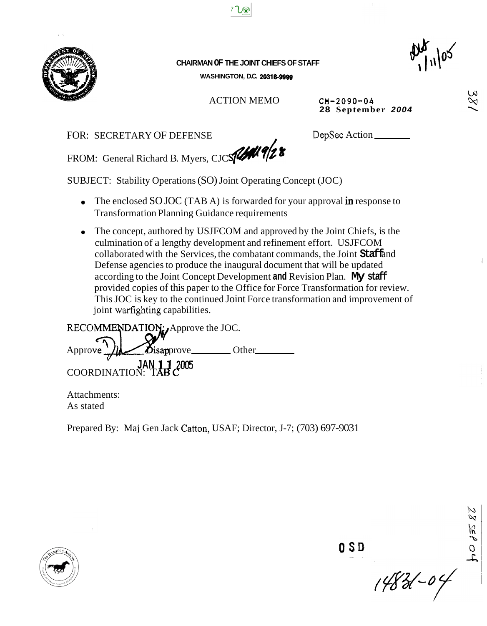

**CHAIRMAN OF THE JOINT CHIEFS OF STAFF WASHINGTON, D.C. 20316-9999** 

 $720$ 

ACTION MEMO **CM-2090-04** 

**28 September** *2004* 

/ FOR: SECRETARY OF DEFENSE

DepSec Action

FROM: General Richard B. Myers, CJC *sfWfb8* 

SUBJECT: Stability Operations (SO) Joint Operating Concept (JOC)

- The enclosed SO JOC (TAB A) is forwarded for your approval **in** response to Transformation Planning Guidance requirements
- The concept, authored by USJFCOM and approved by the Joint Chiefs, is the culmination of a lengthy development and refinement effort. USJFCOM collaborated with the Services, the combatant commands, the Joint **Staff** and Defense agencies to produce the inaugural document that will be updated according to the Joint Concept Development **and** Revision Plan. **My staff**  provided copies of this paper to the Office for Force Transformation for review. This JOC is key to the continued Joint Force transformation and improvement of joint warfighting capabilities.

RECOMMENDATION: Approve the JOC. Approve *I*ld *D*isapprove Other  $\frac{v}{\sqrt{2}}$ **JAN** COORDINATION: T

Attachments: As stated

Prepared By: Maj Gen Jack Catton, USAF; Director, J-7; (703) 697-903 1



 $14821 - 04$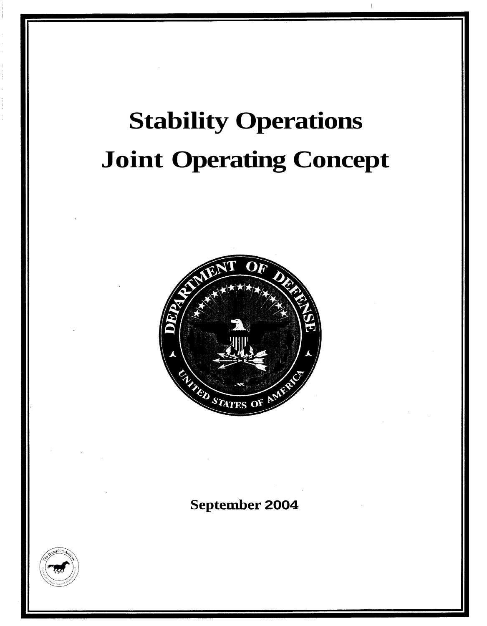# Stability Operations **Stability Operations**  Joint Operating Concept **Joint Operating Concept**



# September 2004 **September 2004**

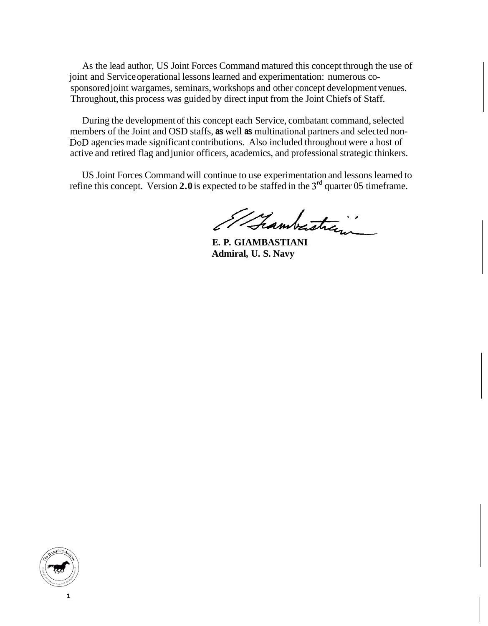As the lead author, US Joint Forces Command matured this concept through the use of joint and Service operational lessons learned and experimentation: numerous cosponsored joint wargames, seminars, workshops and other concept development venues. Throughout, this process was guided by direct input from the Joint Chiefs of Staff.

During the development of this concept each Service, combatant command, selected members of the Joint and OSD staffs, **as** well **as** multinational partners and selected non-DoD agencies made significant contributions. Also included throughout were a host of active and retired flag and junior officers, academics, and professional strategic thinkers.

US Joint Forces Command will continue to use experimentation and lessons learned to refine this concept. Version **2.0** is expected to be staffed in the **3'd** quarter 05 timeframe.

Whamberstra ..

**E. P. GIAMBASTIANI Admiral, U. S. Navy** 

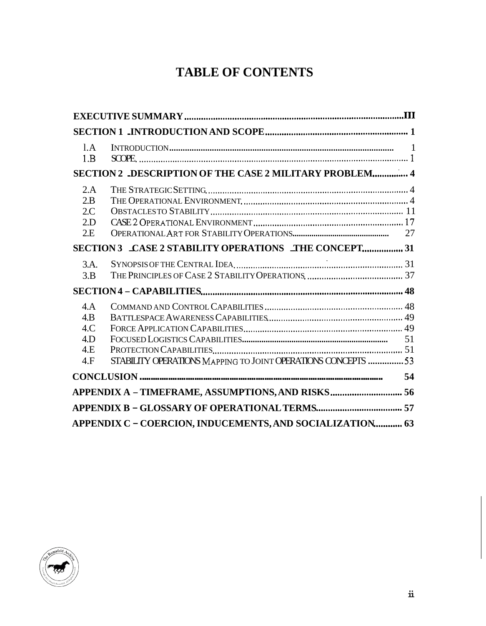# **TABLE OF CONTENTS**

<span id="page-3-0"></span>

| 1.A<br>1.B                             |                                                              |  |
|----------------------------------------|--------------------------------------------------------------|--|
|                                        | SECTION 2 _DESCRIPTION OF THE CASE 2 MILITARY PROBLEM 4      |  |
| 2.A<br>2.B<br>2C<br>2.D<br>2.E         |                                                              |  |
| 3.A.<br>3.B                            |                                                              |  |
| 4.A<br>4.B<br>4.C<br>4.D<br>4.E<br>4.F | STABILITY OPERATIONS MAPPING TO JOINT OPERATIONS CONCEPTS 53 |  |
| 54                                     |                                                              |  |
|                                        | APPENDIX A - TIMEFRAME, ASSUMPTIONS, AND RISKS 56            |  |
|                                        |                                                              |  |
|                                        | APPENDIX C - COERCION, INDUCEMENTS, AND SOCIALIZATION 63     |  |

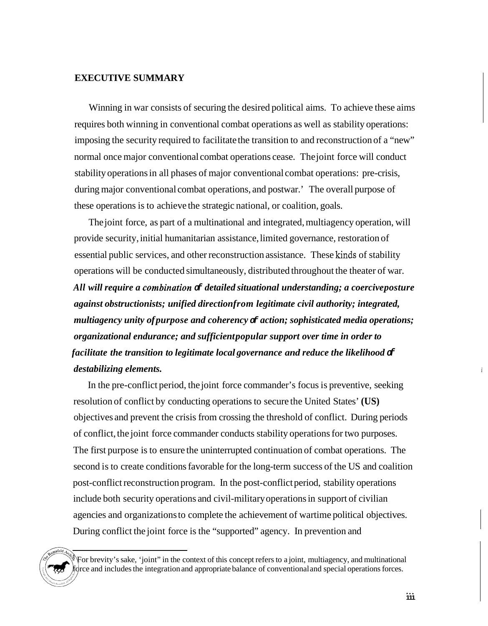#### **EXECUTIVE SUMMARY**

Winning in war consists of securing the desired political aims. To achieve these aims requires both winning in conventional combat operations as well as stability operations: imposing the security required to facilitate the transition to and reconstruction of a "new" normal once major conventional combat operations cease. The joint force will conduct stability operations in all phases of major conventional combat operations: pre-crisis, during major conventional combat operations, and postwar.' The overall purpose of these operations is to achieve the strategic national, or coalition, goals.

The joint force, as part of a multinational and integrated, multiagency operation, will provide security, initial humanitarian assistance, limited governance, restoration of essential public services, and other reconstruction assistance. These kinds of stability operations will be conducted simultaneously, distributed throughout the theater of war. All will require a combination  $\sigma$  *detailed situational understanding; a coerciveposture against obstructionists; unified direction from legitimate civil authority; integrated, multiagency unity of purpose and coherency of action; sophisticated media operations; organizational endurance; and sufficient popular support over time in order to facilitate the transition to legitimate local governance and reduce the likelihood*  $\sigma$ *destabilizing elements.* 

In the pre-conflict period, the joint force commander's focus is preventive, seeking resolution of conflict by conducting operations to secure the United States' **(US)**  objectives and prevent the crisis from crossing the threshold of conflict. During periods of conflict, the joint force commander conducts stability operations for two purposes. The first purpose is to ensure the uninterrupted continuation of combat operations. The second is to create conditions favorable for the long-term success of the US and coalition post-conflict reconstruction program. In the post-conflict period, stability operations include both security operations and civil-military operations in support of civilian agencies and organizations to complete the achievement of wartime political objectives. During conflict the joint force is the "supported" agency. In prevention and

<sup>&#</sup>x27; For brevity's sake, 'joint" in the context of this concept refers to a joint, multiagency, and multinational force and includes the integration and appropriate balance of conventional and special operations forces.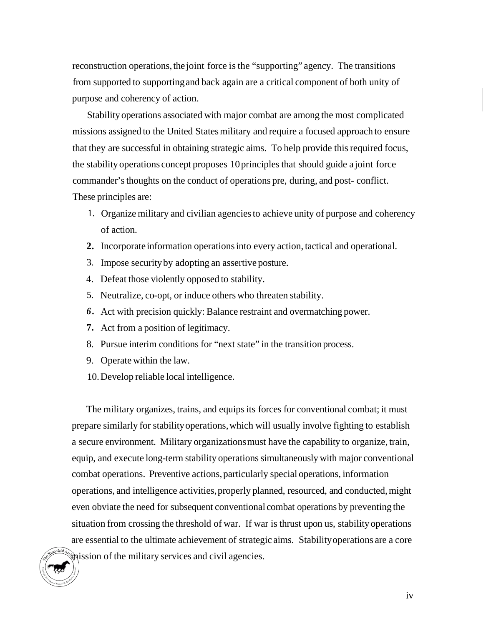reconstruction operations, the joint force is the "supporting" agency. The transitions from supported to supporting and back again are a critical component of both unity of purpose and coherency of action.

Stability operations associated with major combat are among the most complicated missions assigned to the United States military and require a focused approach to ensure that they are successful in obtaining strategic aims. To help provide this required focus, the stability operations concept proposes 10 principles that should guide a joint force commander's thoughts on the conduct of operations pre, during, and post- conflict. These principles are:

- 1. Organize military and civilian agencies to achieve unity of purpose and coherency of action.
- **2.** Incorporate information operations into every action, tactical and operational.
- 3. Impose security by adopting an assertive posture.
- 4. Defeat those violently opposed to stability.
- 5. Neutralize, co-opt, or induce others who threaten stability.
- *6.* Act with precision quickly: Balance restraint and overmatching power.
- **7.** Act from a position of legitimacy.
- 8. Pursue interim conditions for "next state" in the transition process.
- 9. Operate within the law.
- 10. Develop reliable local intelligence.

The military organizes, trains, and equips its forces for conventional combat; it must prepare similarly for stability operations, which will usually involve fighting to establish a secure environment. Military organizations must have the capability to organize, train, equip, and execute long-term stability operations simultaneously with major conventional combat operations. Preventive actions, particularly special operations, information operations, and intelligence activities, properly planned, resourced, and conducted, might even obviate the need for subsequent conventional combat operations by preventing the situation from crossing the threshold of war. If war is thrust upon us, stability operations are essential to the ultimate achievement of strategic aims. Stability operations are a core mission of the military services and civil agencies.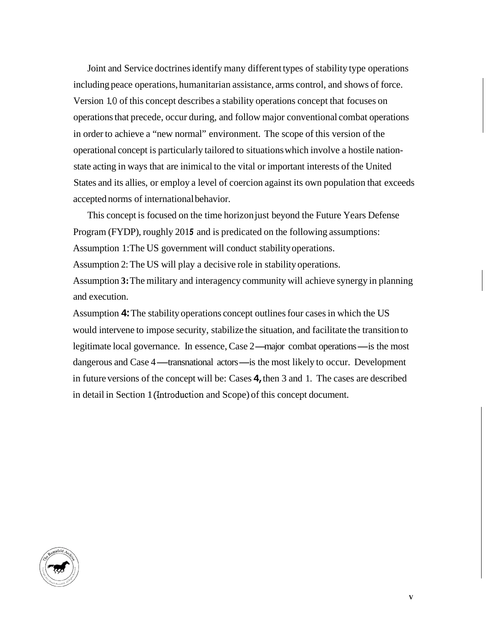Joint and Service doctrines identify many different types of stability type operations including peace operations, humanitarian assistance, arms control, and shows of force. Version 1.0 of this concept describes a stability operations concept that focuses on operations that precede, occur during, and follow major conventional combat operations in order to achieve a "new normal" environment. The scope of this version of the operational concept is particularly tailored to situations which involve a hostile nationstate acting in ways that are inimical to the vital or important interests of the United States and its allies, or employ a level of coercion against its own population that exceeds accepted norms of international behavior.

This concept is focused on the time horizon just beyond the Future Years Defense Program (FYDP), roughly 2015 and is predicated on the following assumptions: Assumption 1: The US government will conduct stability operations.

Assumption 2: The US will play a decisive role in stability operations.

Assumption **3:** The military and interagency community will achieve synergy in planning and execution.

Assumption **4:** The stability operations concept outlines four cases in which the US would intervene to impose security, stabilize the situation, and facilitate the transition to would intervene to impose security, stabilize the situation, and facilitate the transition to legitimate local governance. In essence, Case 2—major combat operations—is the most depitimate local governance. In essence, Case 2—major combat operations—is the most dangerous and Case 4—transnational actors—is the most likely to occur. Development in future versions of the concept will be: Cases **4,** then 3 and 1. The cases are described in detail in Section 1 (htroduction and Scope) of this concept document.

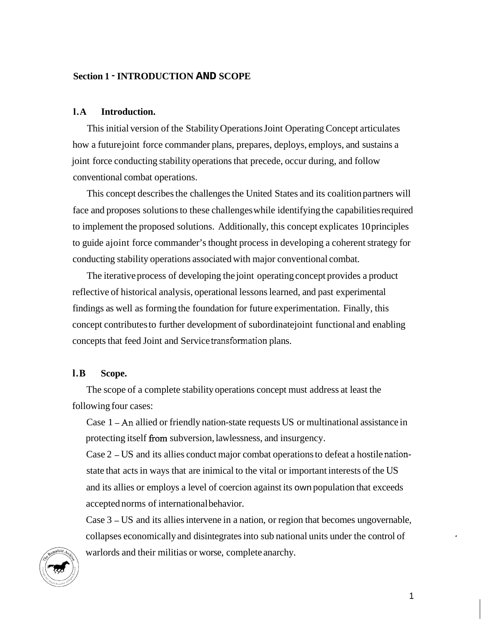## <span id="page-7-0"></span>**Section 1** - **INTRODUCTION AND SCOPE**

#### **l.A Introduction.**

This initial version of the Stability Operations Joint Operating Concept articulates how a future joint force commander plans, prepares, deploys, employs, and sustains a joint force conducting stability operations that precede, occur during, and follow conventional combat operations.

This concept describes the challenges the United States and its coalition partners will face and proposes solutions to these challenges while identifying the capabilities required to implement the proposed solutions. Additionally, this concept explicates 10 principles to guide ajoint force commander's thought process in developing a coherent strategy for conducting stability operations associated with major conventional combat.

The iterative process of developing the joint operating concept provides a product reflective of historical analysis, operational lessons learned, and past experimental findings as well as forming the foundation for future experimentation. Finally, this concept contributes to further development of subordinate joint functional and enabling concepts that feed Joint and Service transformation plans.

# **l.B Scope.**

The scope of a complete stability operations concept must address at least the following four cases:

Case 1 - *An* allied or friendly nation-state requests US or multinational assistance in protecting itself from subversion, lawlessness, and insurgency.

Case 2 - US and its allies conduct major combat operations to defeat a hostile nationstate that acts in ways that are inimical to the vital or important interests of the US and its allies or employs a level of coercion against its own population that exceeds accepted norms of international behavior.

Case 3 - US and its allies intervene in a nation, or region that becomes ungovernable, collapses economically and disintegrates into sub national units under the control of warlords and their militias or worse, complete anarchy.

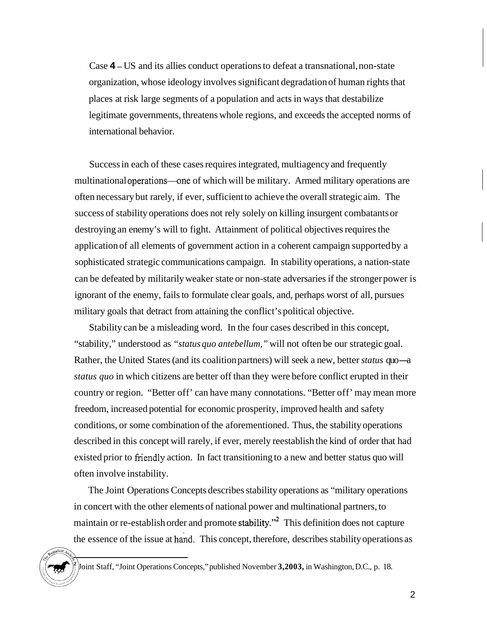Case **4** - US and its allies conduct operations to defeat a transnational, non-state organization, whose ideology involves significant degradation of human rights that places at risk large segments of a population and acts in ways that destabilize legitimate governments, threatens whole regions, and exceeds the accepted norms of international behavior.

Success in each of these cases requires integrated, multiagency and frequently multinational operations—one of which will be military. Armed military operations are often necessary but rarely, if ever, sufficient to achieve the overall strategic aim. The success of stability operations does not rely solely on killing insurgent combatants or destroying an enemy's will to fight. Attainment of political objectives requires the application of all elements of government action in a coherent campaign supported by a sophisticated strategic communications campaign. In stability operations, a nation-state can be defeated by militarily weaker state or non-state adversaries if the stronger power is ignorant of the enemy, fails to formulate clear goals, and, perhaps worst of all, pursues military goals that detract from attaining the conflict's political objective.

Stability can be a misleading word. In the four cases described in this concept, "stability," understood as *"status quo antebellum,"* will not often be our strategic goal. Rather, the United States (and its coalition partners) will seek a new, better *status* quo-a *status quo* in which citizens are better off than they were before conflict erupted in their country or region. "Better off' can have many connotations. "Better off' may mean more freedom, increased potential for economic prosperity, improved health and safety conditions, or some combination of the aforementioned. Thus, the stability operations described in this concept will rarely, if ever, merely reestablish the kind of order that had existed prior to friendly action. In fact transitioning to a new and better status quo will often involve instability.

The Joint Operations Concepts describes stability operations as "military operations in concert with the other elements of national power and multinational partners, to maintain or re-establish order and promote stability."<sup>2</sup> This definition does not capture the essence of the issue at hand. This concept, therefore, describes stability operations as

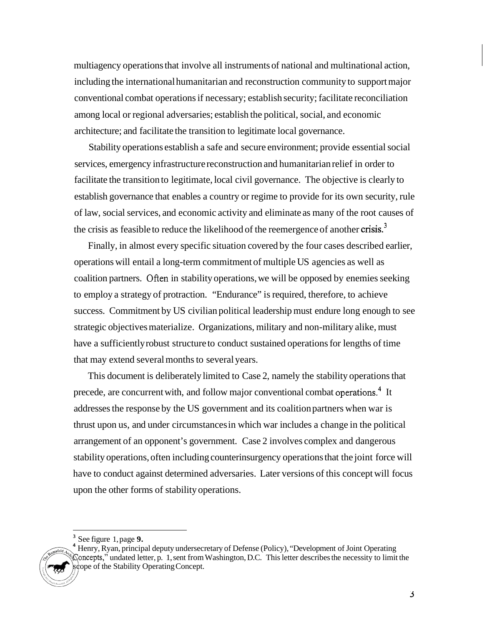multiagency operations that involve all instruments of national and multinational action, including the international humanitarian and reconstruction community to support major conventional combat operations if necessary; establish security; facilitate reconciliation among local or regional adversaries; establish the political, social, and economic architecture; and facilitate the transition to legitimate local governance.

Stability operations establish a safe and secure environment; provide essential social services, emergency infrastructure reconstruction and humanitarian relief in order to facilitate the transition to legitimate, local civil governance. The objective is clearly to establish governance that enables a country or regime to provide for its own security, rule of law, social services, and economic activity and eliminate as many of the root causes of the crisis as feasible to reduce the likelihood of the reemergence of another crisis.<sup>3</sup>

Finally, in almost every specific situation covered by the four cases described earlier, operations will entail a long-term commitment of multiple US agencies as well as coalition partners. Often in stability operations, we will be opposed by enemies seeking to employ a strategy of protraction. "Endurance" is required, therefore, to achieve success. Commitment by US civilian political leadership must endure long enough to see strategic objectives materialize. Organizations, military and non-military alike, must have a sufficiently robust structure to conduct sustained operations for lengths of time that may extend several months to several years.

This document is deliberately limited to Case 2, namely the stability operations that precede, are concurrent with, and follow major conventional combat operations.<sup>4</sup> It addresses the response by the US government and its coalition partners when war is thrust upon us, and under circumstances in which war includes a change in the political arrangement of an opponent's government. Case 2 involves complex and dangerous stability operations, often including counterinsurgency operations that the joint force will have to conduct against determined adversaries. Later versions of this concept will focus upon the other forms of stability operations.

See figure 1, [page](#page-15-0) **9. 3** 

<sup>&</sup>lt;sup>4</sup> Henry, Ryan, principal deputy undersecretary of Defense (Policy), "Development of Joint Operating Concepts," undated letter, p. 1, sent from Washington, D.C. This letter describes the necessity to limit the scope of the Stability Operating Concept.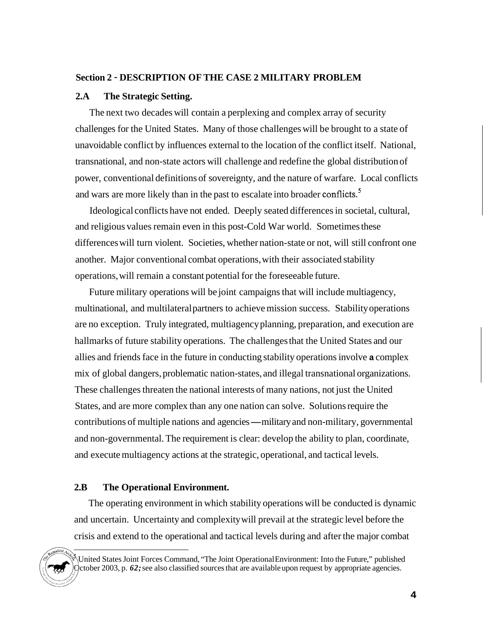## <span id="page-10-0"></span>**Section 2** - **DESCRIPTION OF THE CASE 2 MILITARY PROBLEM**

#### **2.A The Strategic Setting.**

The next two decades will contain a perplexing and complex array of security challenges for the United States. Many of those challenges will be brought to a state of unavoidable conflict by influences external to the location of the conflict itself. National, transnational, and non-state actors will challenge and redefine the global distribution of power, conventional definitions of sovereignty, and the nature of warfare. Local conflicts and wars are more likely than in the past to escalate into broader conflicts.<sup>5</sup>

Ideological conflicts have not ended. Deeply seated differences in societal, cultural, and religious values remain even in this post-Cold War world. Sometimes these differences will turn violent. Societies, whether nation-state or not, will still confront one another. Major conventional combat operations, with their associated stability operations, will remain a constant potential for the foreseeable future.

Future military operations will be joint campaigns that will include multiagency, multinational, and multilateral partners to achieve mission success. Stability operations are no exception. Truly integrated, multiagency planning, preparation, and execution are hallmarks of future stability operations. The challenges that the United States and our allies and friends face in the future in conducting stability operations involve **a** complex mix of global dangers, problematic nation-states, and illegal transnational organizations. These challenges threaten the national interests of many nations, not just the United States, and are more complex than any one nation can solve. Solutions require the contributions of multiple nations and agencies-military and non-military, governmental and non-governmental. The requirement is clear: develop the ability to plan, coordinate, and execute multiagency actions at the strategic, operational, and tactical levels.

# **2.B The Operational Environment.**

The operating environment in which stability operations will be conducted is dynamic and uncertain. Uncertainty and complexity will prevail at the strategic level before the crisis and extend to the operational and tactical levels during and after the major combat

United States Joint Forces Command, "The Joint Operational Environment: Into the Future," published October 2003, p. *62;* see also classified sources that are available upon request by appropriate agencies.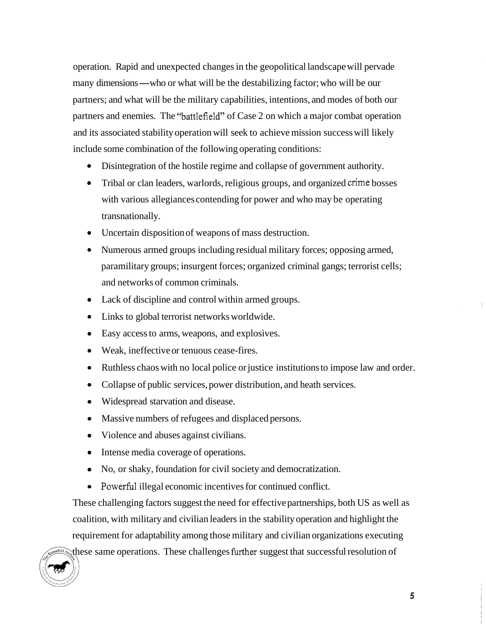operation. Rapid and unexpected changes in the geopolitical landscape will pervade many dimensions—who or what will be the destabilizing factor; who will be our partners; and what will be the military capabilities, intentions, and modes of both our partners and enemies. The "battlefield" of Case 2 on which a major combat operation and its associated stability operation will seek to achieve mission success will likely include some combination of the following operating conditions:

- Disintegration of the hostile regime and collapse of government authority.
- Tribal or clan leaders, warlords, religious groups, and organized crime bosses with various allegiances contending for power and who may be operating transnationally.
- Uncertain disposition of weapons of mass destruction.
- Numerous armed groups including residual military forces; opposing armed, paramilitary groups; insurgent forces; organized criminal gangs; terrorist cells; and networks of common criminals.
- Lack of discipline and control within armed groups.
- Links to global terrorist networks worldwide.
- Easy access to arms, weapons, and explosives.
- Weak, ineffective or tenuous cease-fires.
- Ruthless chaos with no local police or justice institutions to impose law and order.
- Collapse of public services, power distribution, and heath services.
- Widespread starvation and disease.
- Massive numbers of refugees and displaced persons.
- Violence and abuses against civilians.
- Intense media coverage of operations.
- No, or shaky, foundation for civil society and democratization.
- Powerful illegal economic incentives for continued conflict.

These challenging factors suggest the need for effective partnerships, both US as well as coalition, with military and civilian leaders in the stability operation and highlight the requirement for adaptability among those military and civilian organizations executing old a these same operations. These challenges further suggest that successful resolution of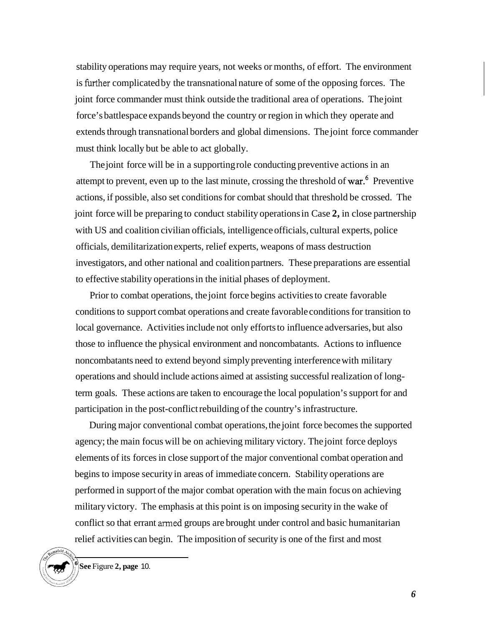stability operations may require years, not weeks or months, of effort. The environment is firther complicated by the transnational nature of some of the opposing forces. The joint force commander must think outside the traditional area of operations. The joint force's battlespace expands beyond the country or region in which they operate and extends through transnational borders and global dimensions. The joint force commander must think locally but be able to act globally.

The joint force will be in a supporting role conducting preventive actions in an attempt to prevent, even up to the last minute, crossing the threshold of war.<sup>6</sup> Preventive actions, if possible, also set conditions for combat should that threshold be crossed. The joint force will be preparing to conduct stability operations in Case **2,** in close partnership with US and coalition civilian officials, intelligence officials, cultural experts, police officials, demilitarization experts, relief experts, weapons of mass destruction investigators, and other national and coalition partners. These preparations are essential to effective stability operations in the initial phases of deployment.

Prior to combat operations, the joint force begins activities to create favorable conditions to support combat operations and create favorable conditions for transition to local governance. Activities include not only efforts to influence adversaries, but also those to influence the physical environment and noncombatants. Actions to influence noncombatants need to extend beyond simply preventing interference with military operations and should include actions aimed at assisting successful realization of longterm goals. These actions are taken to encourage the local population's support for and participation in the post-conflict rebuilding of the country's infrastructure.

During major conventional combat operations, the joint force becomes the supported agency; the main focus will be on achieving military victory. The joint force deploys elements of its forces in close support of the major conventional combat operation and begins to impose security in areas of immediate concern. Stability operations are performed in support of the major combat operation with the main focus on achieving military victory. The emphasis at this point is on imposing security in the wake of conflict so that errant armed groups are brought under control and basic humanitarian relief activities can begin. The imposition of security is one of the first and most



**See** Figure **2, [page](#page-16-0)** 10. **<sup>6</sup>**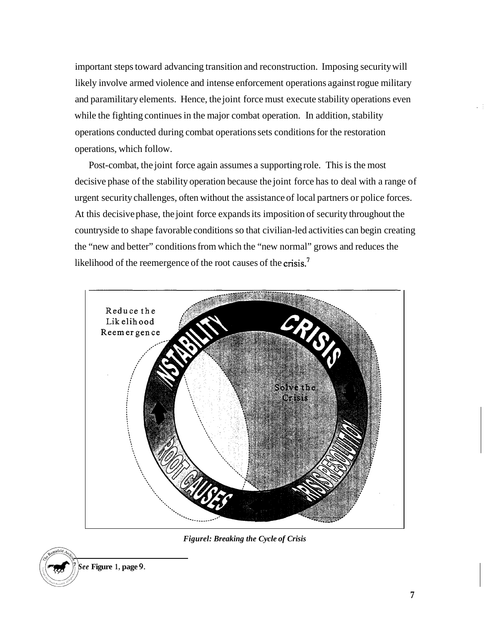important steps toward advancing transition and reconstruction. Imposing security will likely involve armed violence and intense enforcement operations against rogue military and paramilitary elements. Hence, the joint force must execute stability operations even while the fighting continues in the major combat operation. In addition, stability operations conducted during combat operations sets conditions for the restoration operations, which follow.

Post-combat, the joint force again assumes a supporting role. This is the most decisive phase of the stability operation because the joint force has to deal with a range of urgent security challenges, often without the assistance of local partners or police forces. At this decisive phase, the joint force expands its imposition of security throughout the countryside to shape favorable conditions so that civilian-led activities can begin creating the "new and better" conditions from which the "new normal" grows and reduces the likelihood of the reemergence of the root causes of the crisis.<sup>7</sup>



*Figurel: Breaking the Cycle of Crisis* 

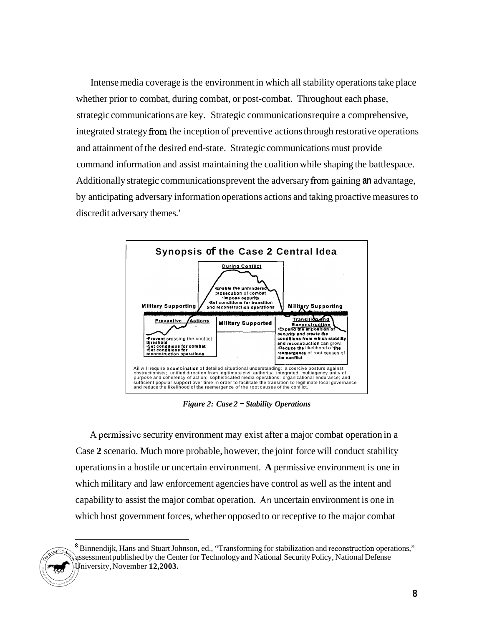Intense media coverage is the environment in which all stability operations take place whether prior to combat, during combat, or post-combat. Throughout each phase, strategic communications are key. Strategic communications require a comprehensive, integrated strategy from the inception of preventive actions through restorative operations and attainment of the desired end-state. Strategic communications must provide command information and assist maintaining the coalition while shaping the battlespace. Additionally strategic communications prevent the adversary from gaining **an** advantage, by anticipating adversary information operations actions and taking proactive measures to discredit adversary themes.'



*Figure 2: Case 2* - *Stability Operations* 

A permissive security environment may exist after a major combat operation in a Case **2** scenario. Much more probable, however, the joint force will conduct stability operations in a hostile or uncertain environment. **A** permissive environment is one in which military and law enforcement agencies have control as well as the intent and capability to assist the major combat operation. *An* uncertain environment is one in which host government forces, whether opposed to or receptive to the major combat



<sup>&</sup>lt;sup>8</sup> Binnendijk, Hans and Stuart Johnson, ed., "Transforming for stabilization and reconstruction operations," assessment published by the Center for Technology and National Security Policy, National Defense University, November **12,2003.**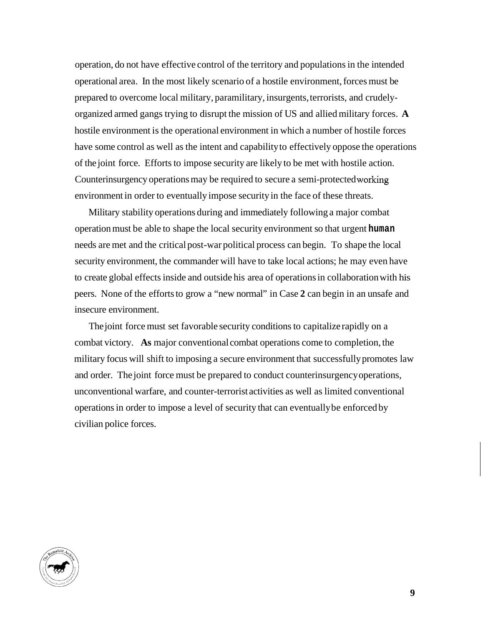<span id="page-15-0"></span>operation, do not have effective control of the territory and populations in the intended operational area. In the most likely scenario of a hostile environment, forces must be prepared to overcome local military, paramilitary, insurgents, terrorists, and crudelyorganized armed gangs trying to disrupt the mission of US and allied military forces. **A**  hostile environment is the operational environment in which a number of hostile forces have some control as well as the intent and capability to effectively oppose the operations of the joint force. Efforts to impose security are likely to be met with hostile action. Counterinsurgency operations may be required to secure a semi-protected working environment in order to eventually impose security in the face of these threats.

Military stability operations during and immediately following a major combat operation must be able to shape the local security environment so that urgent **human**  needs are met and the critical post-war political process can begin. To shape the local security environment, the commander will have to take local actions; he may even have to create global effects inside and outside his area of operations in collaboration with his peers. None of the efforts to grow a "new normal" in Case **2** can begin in an unsafe and insecure environment.

The joint force must set favorable security conditions to capitalize rapidly on a combat victory. **As** major conventional combat operations come to completion, the military focus will shift to imposing a secure environment that successfully promotes law and order. The joint force must be prepared to conduct counterinsurgency operations, unconventional warfare, and counter-terrorist activities as well as limited conventional operations in order to impose a level of security that can eventually be enforced by civilian police forces.

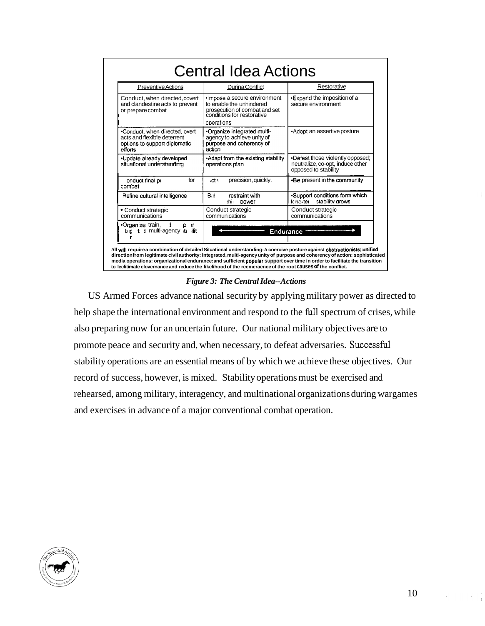<span id="page-16-0"></span>

| <b>Preventive Actions</b>                                                                                 | Durina Conflict                                                                                                                       | Restorative                                                                                  |
|-----------------------------------------------------------------------------------------------------------|---------------------------------------------------------------------------------------------------------------------------------------|----------------------------------------------------------------------------------------------|
| Conduct, when directed, covert<br>and clandestine acts to prevent<br>or prepare combat                    | ·Impose a secure environment<br>to enable the unhindered<br>prosecution of combat and set<br>conditions for restorative<br>operations | •Expand the imposition of a<br>secure environment                                            |
| .Conduct, when directed, overt<br>acts and flexible deterrent<br>options to support diplomatic<br>efforts | -Organize integrated multi-<br>agency to achieve unity of<br>purpose and coherency of<br>action                                       | •Adopt an assertive posture                                                                  |
| •Update already developed<br>situational understanding                                                    | •Adapt from the existing stability<br>operations plan                                                                                 | •Defeat those violently opposed;<br>neutralize, co-opt, induce other<br>opposed to stability |
| for<br>onduct final pi<br>combat                                                                          | precision, quickly.<br>$ct \,$                                                                                                        | •Be present in the community                                                                 |
| Refine cultural intelligence                                                                              | Bill.<br>restraint with<br>:hii<br>power                                                                                              | -Support conditions form which<br>stability grows<br>Ir no-ter                               |
| • Conduct strategic<br>communications                                                                     | Conduct strategic<br>communications                                                                                                   | Conduct strategic<br>communications                                                          |
| ∙Organize train,<br>1<br>D<br>л<br>the t 1 multi-agency to ilit                                           | Endurance                                                                                                                             |                                                                                              |

#### *Figure 3: The Central Idea--Actions*

US Armed Forces advance national security by applying military power as directed to help shape the international environment and respond to the full spectrum of crises, while also preparing now for an uncertain future. Our national military objectives are to promote peace and security and, when necessary, to defeat adversaries. Successful stability operations are an essential means of by which we achieve these objectives. Our record of success, however, is mixed. Stability operations must be exercised and rehearsed, among military, interagency, and multinational organizations during wargames and exercises in advance of a major conventional combat operation.

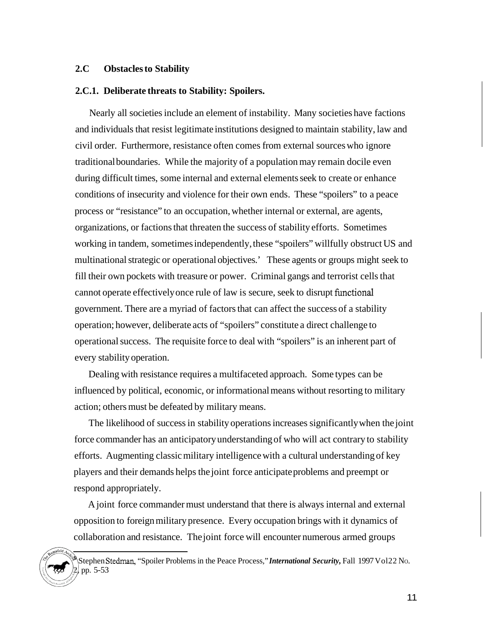# **2.C Obstacles to Stability**

#### **2.C.1. Deliberate threats to Stability: Spoilers.**

Nearly all societies include an element of instability. Many societies have factions and individuals that resist legitimate institutions designed to maintain stability, law and civil order. Furthermore, resistance often comes from external sources who ignore traditional boundaries. While the majority of a population may remain docile even during difficult times, some internal and external elements seek to create or enhance conditions of insecurity and violence for their own ends. These "spoilers" to a peace process or "resistance" to an occupation, whether internal or external, are agents, organizations, or factions that threaten the success of stability efforts. Sometimes working in tandem, sometimes independently, these "spoilers" willfully obstruct US and multinational strategic or operational objectives.' These agents or groups might seek to fill their own pockets with treasure or power. Criminal gangs and terrorist cells that cannot operate effectively once rule of law is secure, seek to disrupt functional government. There are a myriad of factors that can affect the success of a stability operation; however, deliberate acts of "spoilers" constitute a direct challenge to operational success. The requisite force to deal with "spoilers" is an inherent part of every stability operation.

Dealing with resistance requires a multifaceted approach. Some types can be influenced by political, economic, or informational means without resorting to military action; others must be defeated by military means.

The likelihood of success in stability operations increases significantly when the joint force commander has an anticipatory understanding of who will act contrary to stability efforts. Augmenting classic military intelligence with a cultural understanding of key players and their demands helps the joint force anticipate problems and preempt or respond appropriately.

A joint force commander must understand that there is always internal and external opposition to foreign military presence. Every occupation brings with it dynamics of collaboration and resistance. The joint force will encounter numerous armed groups

Stephen Stedman, "Spoiler Problems in the Peace Process," *International Security*, Fall 1997 Vol22 No. pp. 5-53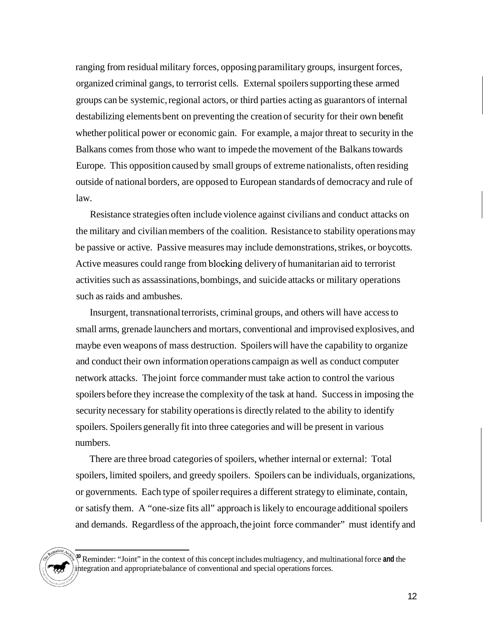ranging from residual military forces, opposing paramilitary groups, insurgent forces, organized criminal gangs, to terrorist cells. External spoilers supporting these armed groups can be systemic, regional actors, or third parties acting as guarantors of internal destabilizing elements bent on preventing the creation of security for their own benefit whether political power or economic gain. For example, a major threat to security in the Balkans comes from those who want to impede the movement of the Balkans towards Europe. This opposition caused by small groups of extreme nationalists, often residing outside of national borders, are opposed to European standards of democracy and rule of law.

Resistance strategies often include violence against civilians and conduct attacks on the military and civilian members of the coalition. Resistance to stability operations may be passive or active. Passive measures may include demonstrations, strikes, or boycotts. Active measures could range from blocking delivery of humanitarian aid to terrorist activities such as assassinations, bombings, and suicide attacks or military operations such as raids and ambushes.

Insurgent, transnational terrorists, criminal groups, and others will have access to small arms, grenade launchers and mortars, conventional and improvised explosives, and maybe even weapons of mass destruction. Spoilers will have the capability to organize and conduct their own information operations campaign as well as conduct computer network attacks. The joint force commander must take action to control the various spoilers before they increase the complexity of the task at hand. Success in imposing the security necessary for stability operations is directly related to the ability to identify spoilers. Spoilers generally fit into three categories and will be present in various numbers.

There are three broad categories of spoilers, whether internal or external: Total spoilers, limited spoilers, and greedy spoilers. Spoilers can be individuals, organizations, or governments. Each type of spoiler requires a different strategy to eliminate, contain, or satisfy them. A "one-size fits all" approach is likely to encourage additional spoilers and demands. Regardless of the approach, the joint force commander" must identify and



Reminder: "Joint" in the context of this concept includes multiagency, and multinational force and the integration and appropriate balance of conventional and special operations forces.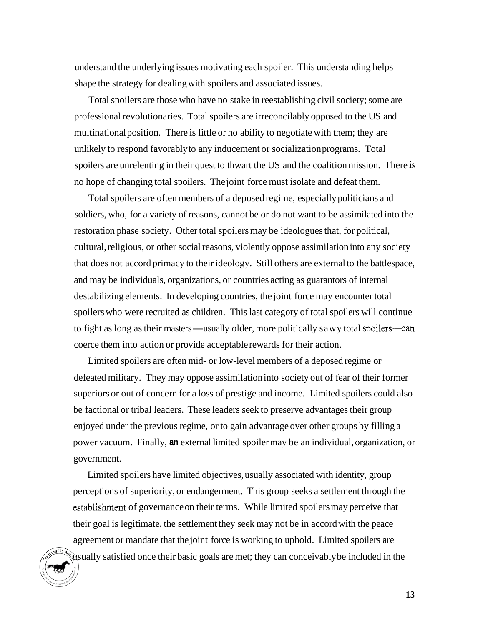understand the underlying issues motivating each spoiler. This understanding helps shape the strategy for dealing with spoilers and associated issues.

Total spoilers are those who have no stake in reestablishing civil society; some are professional revolutionaries. Total spoilers are irreconcilably opposed to the US and multinational position. There is little or no ability to negotiate with them; they are unlikely to respond favorably to any inducement or socialization programs. Total spoilers are unrelenting in their quest to thwart the US and the coalition mission. There is no hope of changing total spoilers. The joint force must isolate and defeat them.

Total spoilers are often members of a deposed regime, especially politicians and soldiers, who, for a variety of reasons, cannot be or do not want to be assimilated into the restoration phase society. Other total spoilers may be ideologues that, for political, cultural, religious, or other social reasons, violently oppose assimilation into any society that does not accord primacy to their ideology. Still others are external to the battlespace, and may be individuals, organizations, or countries acting as guarantors of internal destabilizing elements. In developing countries, the joint force may encounter total spoilers who were recruited as children. This last category of total spoilers will continue spoilers who were recruited as children. This last category of total spoilers will continue<br>to fight as long as their masters—usually older, more politically sawy total spoilers—can coerce them into action or provide acceptable rewards for their action.

Limited spoilers are often mid- or low-level members of a deposed regime or defeated military. They may oppose assimilation into society out of fear of their former superiors or out of concern for a loss of prestige and income. Limited spoilers could also be factional or tribal leaders. These leaders seek to preserve advantages their group enjoyed under the previous regime, or to gain advantage over other groups by filling a power vacuum. Finally, **an** external limited spoiler may be an individual, organization, or government.

Limited spoilers have limited objectives, usually associated with identity, group perceptions of superiority, or endangerment. This group seeks a settlement through the establishment of governance on their terms. While limited spoilers may perceive that their goal is legitimate, the settlement they seek may not be in accord with the peace agreement or mandate that the joint force is working to uphold. Limited spoilers are usually satisfied once their basic goals are met; they can conceivably be included in the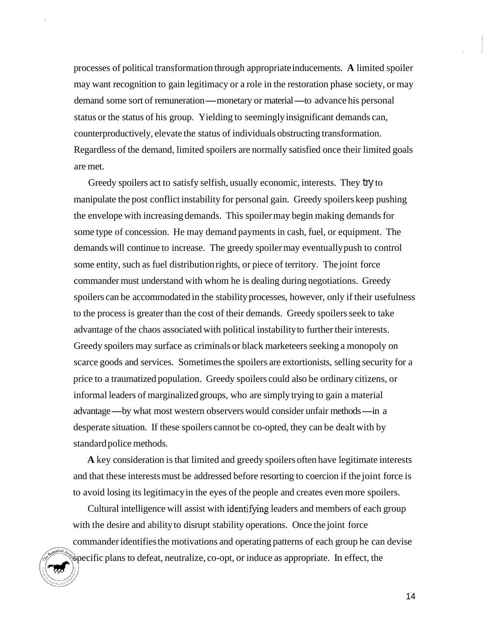processes of political transformation through appropriate inducements. **A** limited spoiler may want recognition to gain legitimacy or a role in the restoration phase society, or may may want recognition to gain legitimacy or a role in the restoration phase society, or demand some sort of remuneration—monetary or material—to advance his personal status or the status of his group. Yielding to seemingly insignificant demands can, counterproductively, elevate the status of individuals obstructing transformation. Regardless of the demand, limited spoilers are normally satisfied once their limited goals are met.

Greedy spoilers act to satisfy selfish, usually economic, interests. They try to manipulate the post conflict instability for personal gain. Greedy spoilers keep pushing the envelope with increasing demands. This spoiler may begin making demands for some type of concession. He may demand payments in cash, fuel, or equipment. The demands will continue to increase. The greedy spoiler may eventually push to control some entity, such as fuel distribution rights, or piece of territory. The joint force commander must understand with whom he is dealing during negotiations. Greedy spoilers can be accommodated in the stability processes, however, only if their usefulness to the process is greater than the cost of their demands. Greedy spoilers seek to take advantage of the chaos associated with political instability to further their interests. Greedy spoilers may surface as criminals or black marketeers seeking a monopoly on scarce goods and services. Sometimes the spoilers are extortionists, selling security for a price to a traumatized population. Greedy spoilers could also be ordinary citizens, or informal leaders of marginalized groups, who are simply trying to gain a material advantage—by what most western observers would consider unfair methods—in a desperate situation. If these spoilers cannot be co-opted, they can be dealt with by standard police methods.

**A** key consideration is that limited and greedy spoilers often have legitimate interests and that these interests must be addressed before resorting to coercion if the joint force is to avoid losing its legitimacy in the eyes of the people and creates even more spoilers.

Cultural intelligence will assist with identifying leaders and members of each group with the desire and ability to disrupt stability operations. Once the joint force commander identifies the motivations and operating patterns of each group he can devise specific plans to defeat, neutralize, co-opt, or induce as appropriate. In effect, the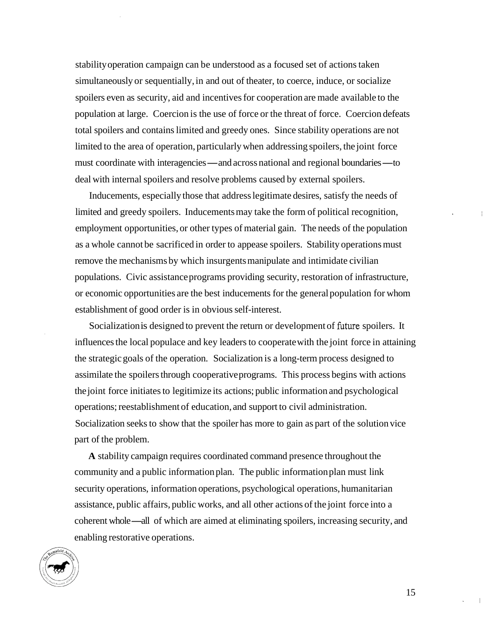stability operation campaign can be understood as a focused set of actions taken simultaneously or sequentially, in and out of theater, to coerce, induce, or socialize spoilers even as security, aid and incentives for cooperation are made available to the population at large. Coercion is the use of force or the threat of force. Coercion defeats total spoilers and contains limited and greedy ones. Since stability operations are not limited to the area of operation, particularly when addressing spoilers, the joint force must coordinate with interagencies — and across national and regional boundaries — to deal with internal spoilers and resolve problems caused by external spoilers.

Inducements, especially those that address legitimate desires, satisfy the needs of limited and greedy spoilers. Inducements may take the form of political recognition, employment opportunities, or other types of material gain. The needs of the population as a whole cannot be sacrificed in order to appease spoilers. Stability operations must remove the mechanisms by which insurgents manipulate and intimidate civilian populations. Civic assistance programs providing security, restoration of infrastructure, or economic opportunities are the best inducements for the general population for whom establishment of good order is in obvious self-interest.

Socialization is designed to prevent the return or development of future spoilers. It influences the local populace and key leaders to cooperate with the joint force in attaining the strategic goals of the operation. Socialization is a long-term process designed to assimilate the spoilers through cooperative programs. This process begins with actions the joint force initiates to legitimize its actions; public information and psychological operations; reestablishment of education, and support to civil administration. Socialization seeks to show that the spoiler has more to gain as part of the solution vice part of the problem.

**A** stability campaign requires coordinated command presence throughout the community and a public information plan. The public information plan must link security operations, information operations, psychological operations, humanitarian assistance, public affairs, public works, and all other actions of the joint force into a coherent whole-all of which are aimed at eliminating spoilers, increasing security, and enabling restorative operations.

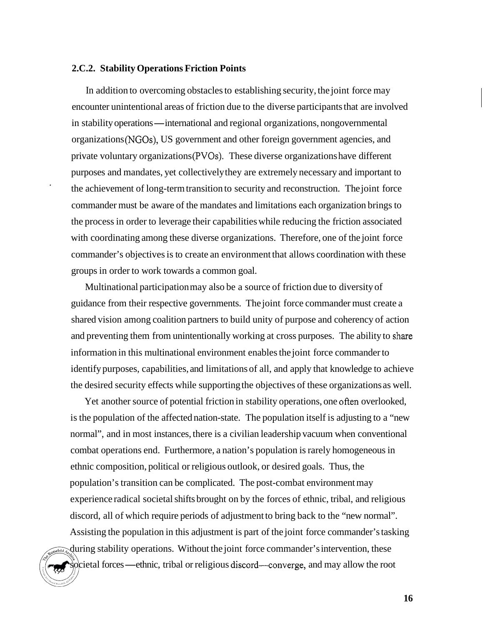#### **2.C.2. Stability Operations Friction Points**

In addition to overcoming obstacles to establishing security, the joint force may encounter unintentional areas of friction due to the diverse participants that are involved encounter unintentional areas of friction due to the diverse participants that are invo<br>in stability operations — international and regional organizations, nongovernmental organizations (NGOs), US government and other foreign government agencies, and private voluntary organizations (PVOs). These diverse organizations have different purposes and mandates, yet collectively they are extremely necessary and important to the achievement of long-term transition to security and reconstruction. The joint force **<sup>1</sup>** commander must be aware of the mandates and limitations each organization brings to the process in order to leverage their capabilities while reducing the friction associated with coordinating among these diverse organizations. Therefore, one of the joint force commander's objectives is to create an environment that allows coordination with these groups in order to work towards a common goal.

Multinational participation may also be a source of friction due to diversity of guidance from their respective governments. The joint force commander must create a shared vision among coalition partners to build unity of purpose and coherency of action and preventing them from unintentionally working at cross purposes. The ability to share information in this multinational environment enables the joint force commander to identify purposes, capabilities, and limitations of all, and apply that knowledge to achieve the desired security effects while supporting the objectives of these organizations as well.

Yet another source of potential friction in stability operations, one often overlooked, is the population of the affected nation-state. The population itself is adjusting to a "new normal", and in most instances, there is a civilian leadership vacuum when conventional combat operations end. Furthermore, a nation's population is rarely homogeneous in ethnic composition, political or religious outlook, or desired goals. Thus, the population's transition can be complicated. The post-combat environment may experience radical societal shifts brought on by the forces of ethnic, tribal, and religious discord, all of which require periods of adjustment to bring back to the "new normal". Assisting the population in this adjustment is part of the joint force commander's tasking during stability operations. Without the joint force commander's intervention, these during stability operations. Without the joint force commander's intervention, these<br>societal forces—ethnic, tribal or religious discord—converge, and may allow the root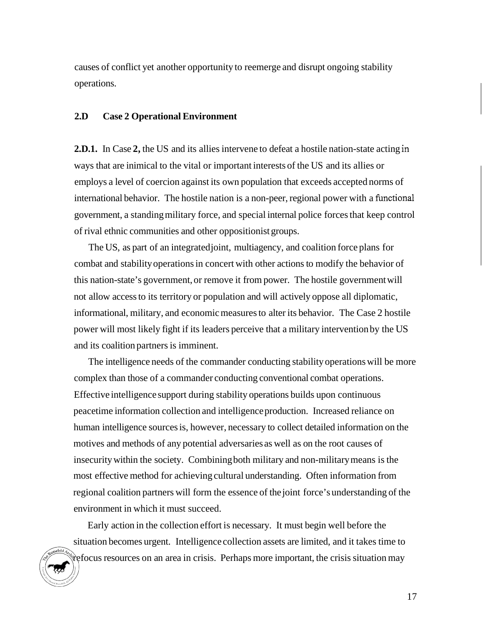<span id="page-23-0"></span>causes of conflict yet another opportunity to reemerge and disrupt ongoing stability operations.

# **2.D Case 2 Operational Environment**

**2.D.1.** In Case **2,** the US and its allies intervene to defeat a hostile nation-state acting in ways that are inimical to the vital or important interests of the US and its allies or employs a level of coercion against its own population that exceeds accepted norms of international behavior. The hostile nation is a non-peer, regional power with a functional government, a standing military force, and special internal police forces that keep control of rival ethnic communities and other oppositionist groups.

The US, as part of an integrated joint, multiagency, and coalition force plans for combat and stability operations in concert with other actions to modify the behavior of this nation-state's government, or remove it from power. The hostile government will not allow access to its territory or population and will actively oppose all diplomatic, informational, military, and economic measures to alter its behavior. The Case 2 hostile power will most likely fight if its leaders perceive that a military intervention by the US and its coalition partners is imminent.

The intelligence needs of the commander conducting stability operations will be more complex than those of a commander conducting conventional combat operations. Effective intelligence support during stability operations builds upon continuous peacetime information collection and intelligence production. Increased reliance on human intelligence sources is, however, necessary to collect detailed information on the motives and methods of any potential adversaries as well as on the root causes of insecurity within the society. Combining both military and non-military means is the most effective method for achieving cultural understanding. Often information from regional coalition partners will form the essence of the joint force's understanding of the environment in which it must succeed.

Early action in the collection effort is necessary. It must begin well before the situation becomes urgent. Intelligence collection assets are limited, and it takes time to refocus resources on an area in crisis. Perhaps more important, the crisis situation may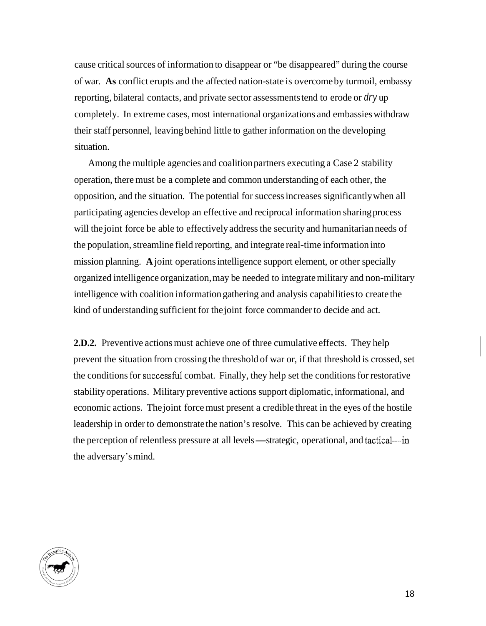cause critical sources of information to disappear or "be disappeared" during the course of war. **As** conflict erupts and the affected nation-state is overcome by turmoil, embassy reporting, bilateral contacts, and private sector assessments tend to erode or *dry* up completely. In extreme cases, most international organizations and embassies withdraw their staff personnel, leaving behind little to gather information on the developing situation.

Among the multiple agencies and coalition partners executing a Case 2 stability operation, there must be a complete and common understanding of each other, the opposition, and the situation. The potential for success increases significantly when all participating agencies develop an effective and reciprocal information sharing process will the joint force be able to effectively address the security and humanitarian needs of the population, streamline field reporting, and integrate real-time information into mission planning. **A** joint operations intelligence support element, or other specially organized intelligence organization, may be needed to integrate military and non-military intelligence with coalition information gathering and analysis capabilities to create the kind of understanding sufficient for the joint force commander to decide and act.

**2.D.2.** Preventive actions must achieve one of three cumulative effects. They help prevent the situation from crossing the threshold of war or, if that threshold is crossed, set the conditions for successhl combat. Finally, they help set the conditions for restorative stability operations. Military preventive actions support diplomatic, informational, and economic actions. The joint force must present a credible threat in the eyes of the hostile leadership in order to demonstrate the nation's resolve. This can be achieved by creating leadership in order to demonstrate the nation's resolve. This can be achieved by creation the perception of relentless pressure at all levels—strategic, operational, and tactical the adversary's mind.

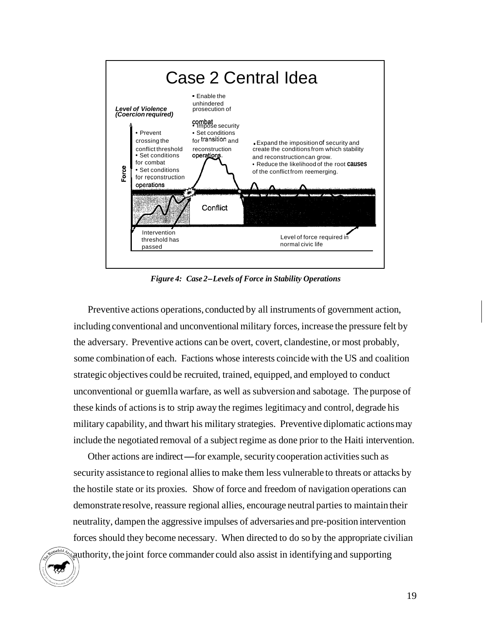

*Figure 4: Case 2-Levels of Force in Stability Operations* 

Preventive actions operations, conducted by all instruments of government action, including conventional and unconventional military forces, increase the pressure felt by the adversary. Preventive actions can be overt, covert, clandestine, or most probably, some combination of each. Factions whose interests coincide with the US and coalition strategic objectives could be recruited, trained, equipped, and employed to conduct unconventional or guemlla warfare, as well as subversion and sabotage. The purpose of these kinds of actions is to strip away the regimes legitimacy and control, degrade his military capability, and thwart his military strategies. Preventive diplomatic actions may include the negotiated removal of a subject regime as done prior to the Haiti intervention. I ude the negotiated removal of a subject regime as done prior to the Haiti interve<br>Other actions are indirect—for example, security cooperation activities such as

security assistance to regional allies to make them less vulnerable to threats or attacks by the hostile state or its proxies. Show of force and freedom of navigation operations can demonstrate resolve, reassure regional allies, encourage neutral parties to maintain their neutrality, dampen the aggressive impulses of adversaries and pre-position intervention forces should they become necessary. When directed to do so by the appropriate civilian authority, the joint force commander could also assist in identifying and supporting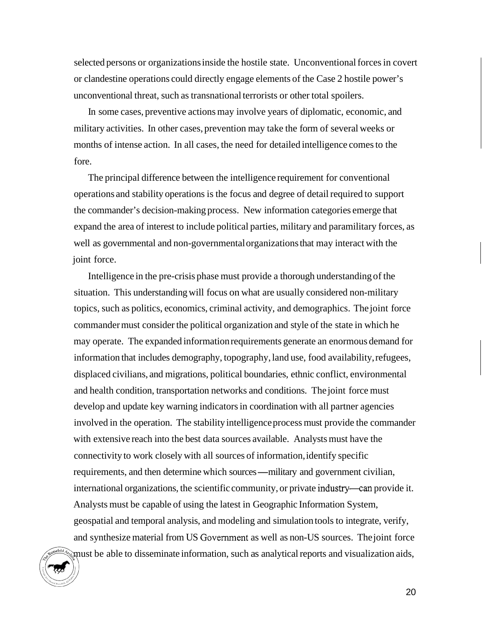selected persons or organizations inside the hostile state. Unconventional forces in covert or clandestine operations could directly engage elements of the Case 2 hostile power's unconventional threat, such as transnational terrorists or other total spoilers.

In some cases, preventive actions may involve years of diplomatic, economic, and military activities. In other cases, prevention may take the form of several weeks or months of intense action. In all cases, the need for detailed intelligence comes to the fore.

The principal difference between the intelligence requirement for conventional operations and stability operations is the focus and degree of detail required to support the commander's decision-making process. New information categories emerge that expand the area of interest to include political parties, military and paramilitary forces, as well as governmental and non-governmental organizations that may interact with the joint force.

Intelligence in the pre-crisis phase must provide a thorough understanding of the situation. This understanding will focus on what are usually considered non-military topics, such as politics, economics, criminal activity, and demographics. The joint force commander must consider the political organization and style of the state in which he may operate. The expanded information requirements generate an enormous demand for information that includes demography, topography, land use, food availability, refugees, displaced civilians, and migrations, political boundaries, ethnic conflict, environmental and health condition, transportation networks and conditions. The joint force must develop and update key warning indicators in coordination with all partner agencies involved in the operation. The stability intelligence process must provide the commander with extensive reach into the best data sources available. Analysts must have the connectivity to work closely with all sources of information, identify specific requirements, and then determine which sources—military and government civilian, international organizations, the scientific community, or private industry—can provide it. Analysts must be capable of using the latest in Geographic Information System, geospatial and temporal analysis, and modeling and simulation tools to integrate, verify, and synthesize material from US Government as well as non-US sources. The joint force must be able to disseminate information, such as analytical reports and visualization aids,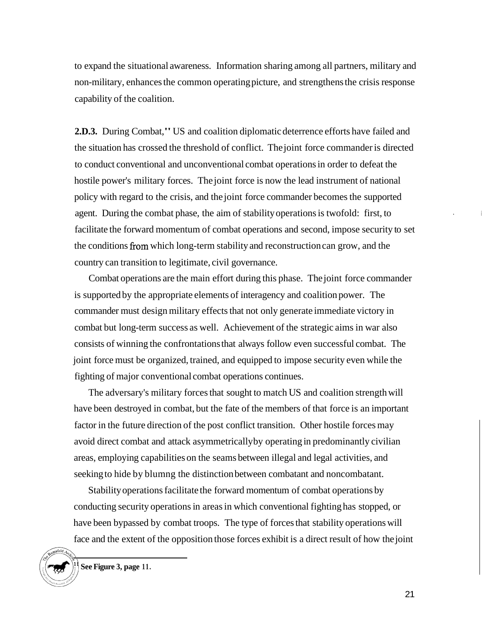to expand the situational awareness. Information sharing among all partners, military and non-military, enhances the common operating picture, and strengthens the crisis response capability of the coalition.

**2.D.3.** During Combat," US and coalition diplomatic deterrence efforts have failed and the situation has crossed the threshold of conflict. The joint force commander is directed to conduct conventional and unconventional combat operations in order to defeat the hostile power's military forces. The joint force is now the lead instrument of national policy with regard to the crisis, and the joint force commander becomes the supported agent. During the combat phase, the aim of stability operations is twofold: first, to facilitate the forward momentum of combat operations and second, impose security to set the conditions from which long-term stability and reconstruction can grow, and the country can transition to legitimate, civil governance.

Combat operations are the main effort during this phase. The joint force commander is supported by the appropriate elements of interagency and coalition power. The commander must design military effects that not only generate immediate victory in combat but long-term success as well. Achievement of the strategic aims in war also consists of winning the confrontations that always follow even successful combat. The joint force must be organized, trained, and equipped to impose security even while the fighting of major conventional combat operations continues.

The adversary's military forces that sought to match US and coalition strength will have been destroyed in combat, but the fate of the members of that force is an important factor in the future direction of the post conflict transition. Other hostile forces may avoid direct combat and attack asymmetrically by operating in predominantly civilian areas, employing capabilities on the seams between illegal and legal activities, and seeking to hide by blumng the distinction between combatant and noncombatant.

Stability operations facilitate the forward momentum of combat operations by conducting security operations in areas in which conventional fighting has stopped, or have been bypassed by combat troops. The type of forces that stability operations will face and the extent of the opposition those forces exhibit is a direct result of how the joint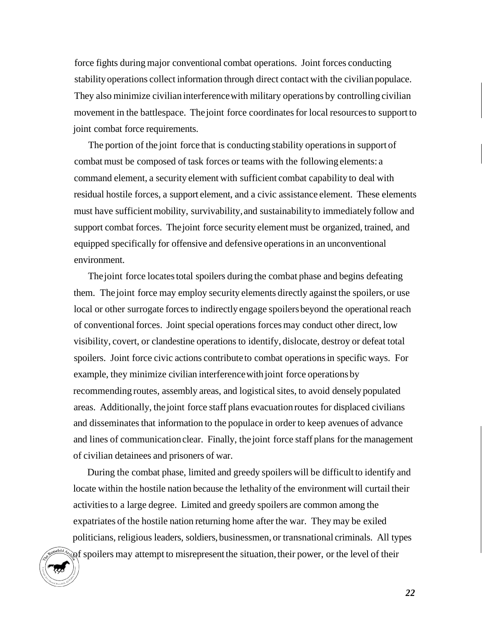<span id="page-28-0"></span>force fights during major conventional combat operations. Joint forces conducting stability operations collect information through direct contact with the civilian populace. They also minimize civilian interference with military operations by controlling civilian movement in the battlespace. The joint force coordinates for local resources to support to joint combat force requirements.

The portion of the joint force that is conducting stability operations in support of combat must be composed of task forces or teams with the following elements: a command element, a security element with sufficient combat capability to deal with residual hostile forces, a support element, and a civic assistance element. These elements must have sufficient mobility, survivability, and sustainability to immediately follow and support combat forces. The joint force security element must be organized, trained, and equipped specifically for offensive and defensive operations in an unconventional environment.

The joint force locates total spoilers during the combat phase and begins defeating them. The joint force may employ security elements directly against the spoilers, or use local or other surrogate forces to indirectly engage spoilers beyond the operational reach of conventional forces. Joint special operations forces may conduct other direct, low visibility, covert, or clandestine operations to identify, dislocate, destroy or defeat total spoilers. Joint force civic actions contribute to combat operations in specific ways. For example, they minimize civilian interference with joint force operations by recommending routes, assembly areas, and logistical sites, to avoid densely populated areas. Additionally, the joint force staff plans evacuation routes for displaced civilians and disseminates that information to the populace in order to keep avenues of advance and lines of communication clear. Finally, the joint force staff plans for the management of civilian detainees and prisoners of war.

During the combat phase, limited and greedy spoilers will be difficult to identify and locate within the hostile nation because the lethality of the environment will curtail their activities to a large degree. Limited and greedy spoilers are common among the expatriates of the hostile nation returning home after the war. They may be exiled politicians, religious leaders, soldiers, businessmen, or transnational criminals. All types of spoilers may attempt to misrepresent the situation, their power, or the level of their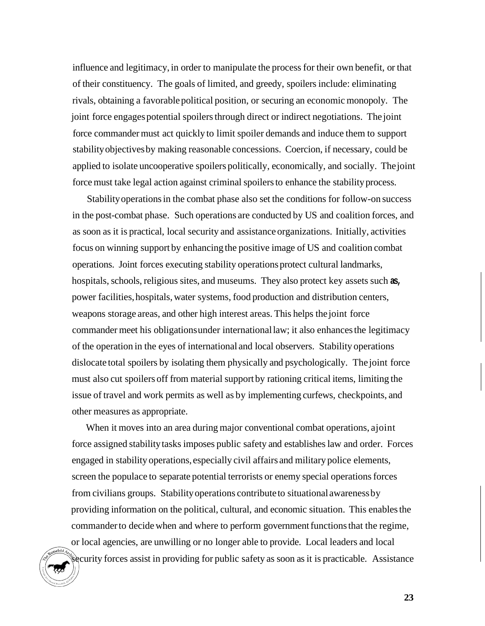influence and legitimacy, in order to manipulate the process for their own benefit, or that of their constituency. The goals of limited, and greedy, spoilers include: eliminating rivals, obtaining a favorable political position, or securing an economic monopoly. The joint force engages potential spoilers through direct or indirect negotiations. The joint force commander must act quickly to limit spoiler demands and induce them to support stability objectives by making reasonable concessions. Coercion, if necessary, could be applied to isolate uncooperative spoilers politically, economically, and socially. The joint force must take legal action against criminal spoilers to enhance the stability process.

Stability operations in the combat phase also set the conditions for follow-on success in the post-combat phase. Such operations are conducted by US and coalition forces, and as soon as it is practical, local security and assistance organizations. Initially, activities focus on winning support by enhancing the positive image of US and coalition combat operations. Joint forces executing stability operations protect cultural landmarks, hospitals, schools, religious sites, and museums. They also protect key assets such **as,**  power facilities, hospitals, water systems, food production and distribution centers, weapons storage areas, and other high interest areas. This helps the joint force commander meet his obligations under international law; it also enhances the legitimacy of the operation in the eyes of international and local observers. Stability operations dislocate total spoilers by isolating them physically and psychologically. The joint force must also cut spoilers off from material support by rationing critical items, limiting the issue of travel and work permits as well as by implementing curfews, checkpoints, and other measures as appropriate.

When it moves into an area during major conventional combat operations, ajoint force assigned stability tasks imposes public safety and establishes law and order. Forces engaged in stability operations, especially civil affairs and military police elements, screen the populace to separate potential terrorists or enemy special operations forces from civilians groups. Stability operations contribute to situational awareness by providing information on the political, cultural, and economic situation. This enables the commander to decide when and where to perform government functions that the regime, or local agencies, are unwilling or no longer able to provide. Local leaders and local security forces assist in providing for public safety as soon as it is practicable. Assistance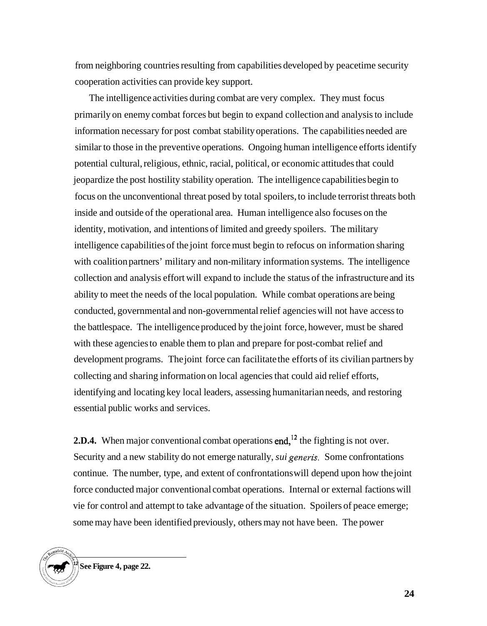from neighboring countries resulting from capabilities developed by peacetime security cooperation activities can provide key support.

The intelligence activities during combat are very complex. They must focus primarily on enemy combat forces but begin to expand collection and analysis to include information necessary for post combat stability operations. The capabilities needed are similar to those in the preventive operations. Ongoing human intelligence efforts identify potential cultural, religious, ethnic, racial, political, or economic attitudes that could jeopardize the post hostility stability operation. The intelligence capabilities begin to focus on the unconventional threat posed by total spoilers, to include terrorist threats both inside and outside of the operational area. Human intelligence also focuses on the identity, motivation, and intentions of limited and greedy spoilers. The military intelligence capabilities of the joint force must begin to refocus on information sharing with coalition partners' military and non-military information systems. The intelligence collection and analysis effort will expand to include the status of the infrastructure and its ability to meet the needs of the local population. While combat operations are being conducted, governmental and non-governmental relief agencies will not have access to the battlespace. The intelligence produced by the joint force, however, must be shared with these agencies to enable them to plan and prepare for post-combat relief and development programs. The joint force can facilitate the efforts of its civilian partners by collecting and sharing information on local agencies that could aid relief efforts, identifying and locating key local leaders, assessing humanitarian needs, and restoring essential public works and services.

**2.D.4.** When major conventional combat operations end,<sup>12</sup> the fighting is not over. Security and a new stability do not emerge naturally, *sui generis.* Some confrontations continue. The number, type, and extent of confrontations will depend upon how the joint force conducted major conventional combat operations. Internal or external factions will vie for control and attempt to take advantage of the situation. Spoilers of peace emerge; some may have been identified previously, others may not have been. The power

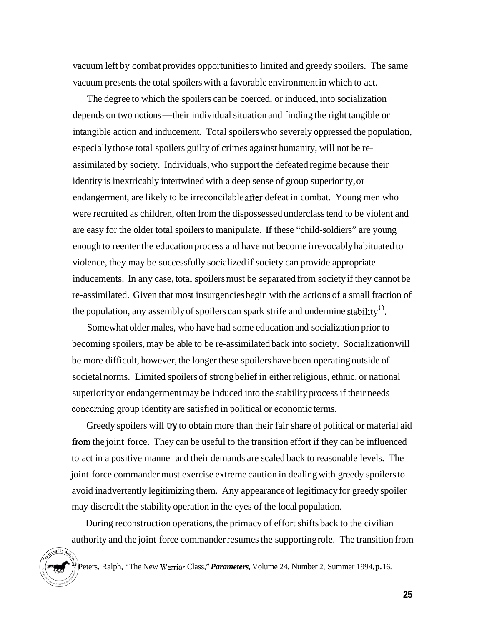vacuum left by combat provides opportunities to limited and greedy spoilers. The same vacuum presents the total spoilers with a favorable environment in which to act.

The degree to which the spoilers can be coerced, or induced, into socialization depends on two notions—their individual situation and finding the right tangible or intangible action and inducement. Total spoilers who severely oppressed the population, especially those total spoilers guilty of crimes against humanity, will not be reassimilated by society. Individuals, who support the defeated regime because their identity is inextricably intertwined with a deep sense of group superiority, or endangerment, are likely to be irreconcilable after defeat in combat. Young men who were recruited as children, often from the dispossessed underclass tend to be violent and are easy for the older total spoilers to manipulate. If these "child-soldiers" are young enough to reenter the education process and have not become irrevocably habituated to violence, they may be successfully socialized if society can provide appropriate inducements. In any case, total spoilers must be separated from society if they cannot be re-assimilated. Given that most insurgencies begin with the actions of a small fraction of the population, any assembly of spoilers can spark strife and undermine stability<sup>13</sup>.

Somewhat older males, who have had some education and socialization prior to becoming spoilers, may be able to be re-assimilated back into society. Socialization will be more difficult, however, the longer these spoilers have been operating outside of societal norms. Limited spoilers of strong belief in either religious, ethnic, or national superiority or endangerment may be induced into the stability process if their needs concerning group identity are satisfied in political or economic terms.

Greedy spoilers will **try** to obtain more than their fair share of political or material aid from the joint force. They can be useful to the transition effort if they can be influenced to act in a positive manner and their demands are scaled back to reasonable levels. The joint force commander must exercise extreme caution in dealing with greedy spoilers to avoid inadvertently legitimizing them. Any appearance of legitimacy for greedy spoiler may discredit the stability operation in the eyes of the local population.

During reconstruction operations, the primacy of effort shifts back to the civilian authority and the joint force commander resumes the supporting role. The transition from

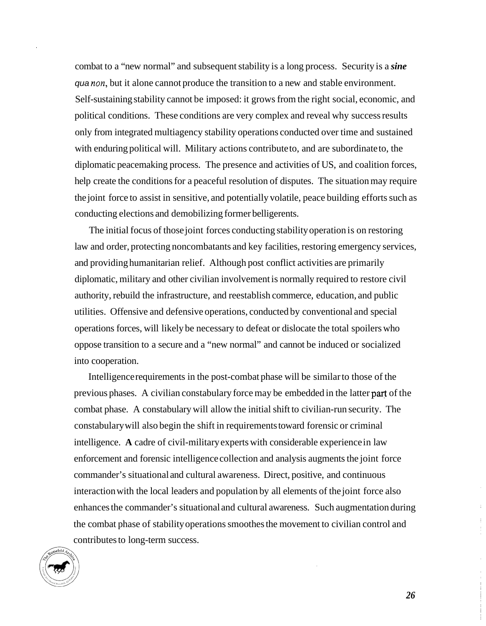combat to a "new normal" and subsequent stability is a long process. Security is a *sine qua non*, but it alone cannot produce the transition to a new and stable environment. Self-sustaining stability cannot be imposed: it grows from the right social, economic, and political conditions. These conditions are very complex and reveal why success results only from integrated multiagency stability operations conducted over time and sustained with enduring political will. Military actions contribute to, and are subordinate to, the diplomatic peacemaking process. The presence and activities of US, and coalition forces, help create the conditions for a peaceful resolution of disputes. The situation may require the joint force to assist in sensitive, and potentially volatile, peace building efforts such as conducting elections and demobilizing former belligerents.

The initial focus of those joint forces conducting stability operation is on restoring law and order, protecting noncombatants and key facilities, restoring emergency services, and providing humanitarian relief. Although post conflict activities are primarily diplomatic, military and other civilian involvement is normally required to restore civil authority, rebuild the infrastructure, and reestablish commerce, education, and public utilities. Offensive and defensive operations, conducted by conventional and special operations forces, will likely be necessary to defeat or dislocate the total spoilers who oppose transition to a secure and a "new normal" and cannot be induced or socialized into cooperation.

Intelligence requirements in the post-combat phase will be similar to those of the previous phases. A civilian constabulary force may be embedded in the latter part of the combat phase. A constabulary will allow the initial shift to civilian-run security. The constabulary will also begin the shift in requirements toward forensic or criminal intelligence. **A** cadre of civil-military experts with considerable experience in law enforcement and forensic intelligence collection and analysis augments the joint force commander's situational and cultural awareness. Direct, positive, and continuous interaction with the local leaders and population by all elements of the joint force also enhances the commander's situational and cultural awareness. Such augmentation during the combat phase of stability operations smoothes the movement to civilian control and contributes to long-term success.

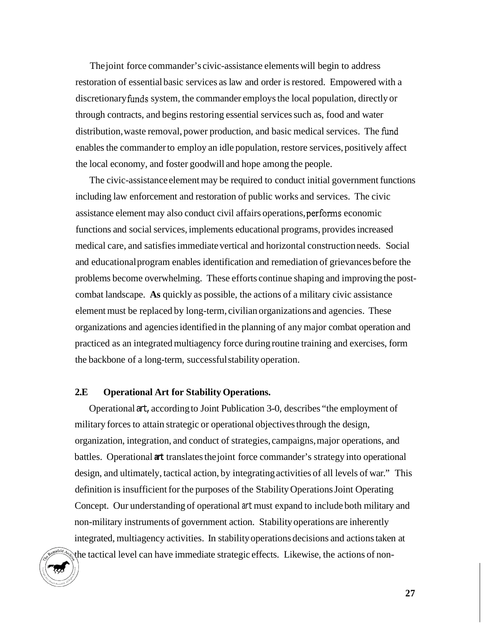<span id="page-33-0"></span>The joint force commander's civic-assistance elements will begin to address restoration of essential basic services as law and order is restored. Empowered with a discretionary funds system, the commander employs the local population, directly or through contracts, and begins restoring essential services such as, food and water distribution, waste removal, power production, and basic medical services. The fimd enables the commander to employ an idle population, restore services, positively affect the local economy, and foster goodwill and hope among the people.

The civic-assistance element may be required to conduct initial government functions including law enforcement and restoration of public works and services. The civic assistance element may also conduct civil affairs operations, perfonns economic functions and social services, implements educational programs, provides increased medical care, and satisfies immediate vertical and horizontal construction needs. Social and educational program enables identification and remediation of grievances before the problems become overwhelming. These efforts continue shaping and improving the postcombat landscape. **As** quickly as possible, the actions of a military civic assistance element must be replaced by long-term, civilian organizations and agencies. These organizations and agencies identified in the planning of any major combat operation and practiced as an integrated multiagency force during routine training and exercises, form the backbone of a long-term, successful stability operation.

# **2.E Operational Art for Stability Operations.**

Operational art, according to Joint Publication 3-0, describes "the employment of military forces to attain strategic or operational objectives through the design, organization, integration, and conduct of strategies, campaigns, major operations, and battles. Operational **art** translates the joint force commander's strategy into operational design, and ultimately, tactical action, by integrating activities of all levels of war." This definition is insufficient for the purposes of the Stability Operations Joint Operating Concept. Our understanding of operational art must expand to include both military and non-military instruments of government action. Stability operations are inherently integrated, multiagency activities. In stability operations decisions and actions taken at the tactical level can have immediate strategic effects. Likewise, the actions of non-

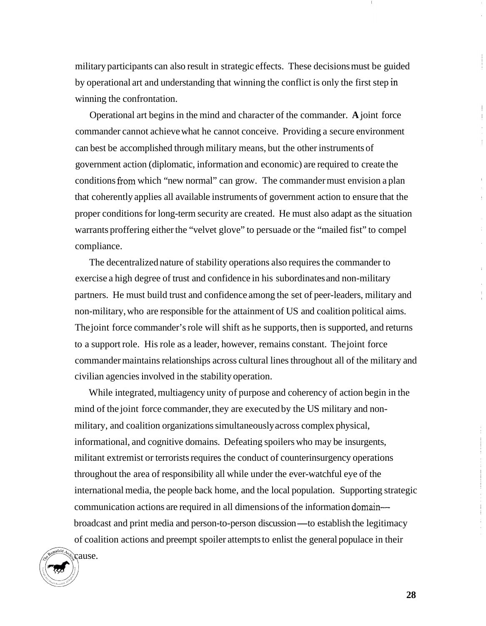military participants can also result in strategic effects. These decisions must be guided by operational art and understanding that winning the conflict is only the first step in winning the confrontation.

Operational art begins in the mind and character of the commander. **A** joint force commander cannot achieve what he cannot conceive. Providing a secure environment can best be accomplished through military means, but the other instruments of government action (diplomatic, information and economic) are required to create the conditions from which "new normal" can grow. The commander must envision a plan that coherently applies all available instruments of government action to ensure that the proper conditions for long-term security are created. He must also adapt as the situation warrants proffering either the "velvet glove" to persuade or the "mailed fist" to compel compliance.

The decentralized nature of stability operations also requires the commander to exercise a high degree of trust and confidence in his subordinates and non-military partners. He must build trust and confidence among the set of peer-leaders, military and non-military, who are responsible for the attainment of US and coalition political aims. The joint force commander's role will shift as he supports, then is supported, and returns to a support role. His role as a leader, however, remains constant. The joint force commander maintains relationships across cultural lines throughout all of the military and civilian agencies involved in the stability operation.

While integrated, multiagency unity of purpose and coherency of action begin in the mind of the joint force commander, they are executed by the US military and nonmilitary, and coalition organizations simultaneously across complex physical, informational, and cognitive domains. Defeating spoilers who may be insurgents, militant extremist or terrorists requires the conduct of counterinsurgency operations throughout the area of responsibility all while under the ever-watchful eye of the international media, the people back home, and the local population. Supporting strategic communication actions are required in all dimensions of the information domainbroadcast and print media and person-to-person discussion-to establish the legitimacy of coalition actions and preempt spoiler attempts to enlist the general populace in their

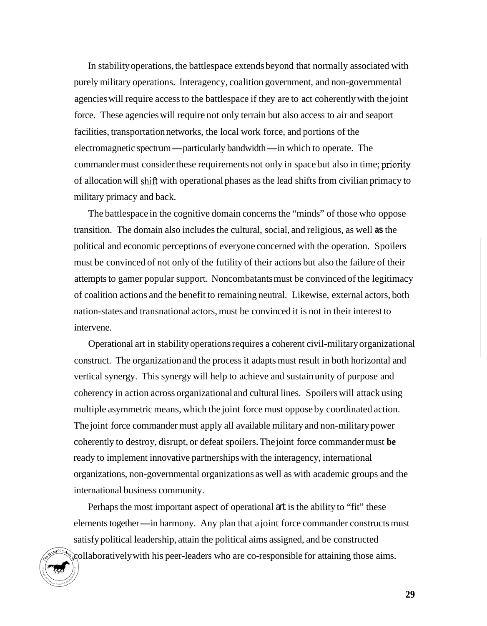In stability operations, the battlespace extends beyond that normally associated with purely military operations. Interagency, coalition government, and non-governmental agencies will require access to the battlespace if they are to act coherently with the joint force. These agencies will require not only terrain but also access to air and seaport facilities, transportation networks, the local work force, and portions of the electromagnetic spectrum—particularly bandwidth—in which to operate. The commander must consider these requirements not only in space but also in time; priority of allocation will shift with operational phases as the lead shifts from civilian primacy to military primacy and back.

The battlespace in the cognitive domain concerns the "minds" of those who oppose transition. The domain also includes the cultural, social, and religious, as well **as** the political and economic perceptions of everyone concerned with the operation. Spoilers must be convinced of not only of the futility of their actions but also the failure of their attempts to gamer popular support. Noncombatants must be convinced of the legitimacy of coalition actions and the benefit to remaining neutral. Likewise, external actors, both nation-states and transnational actors, must be convinced it is not in their interest to intervene.

Operational art in stability operations requires a coherent civil-military organizational construct. The organization and the process it adapts must result in both horizontal and vertical synergy. This synergy will help to achieve and sustain unity of purpose and coherency in action across organizational and cultural lines. Spoilers will attack using multiple asymmetric means, which the joint force must oppose by coordinated action. The joint force commander must apply all available military and non-military power coherently to destroy, disrupt, or defeat spoilers. The joint force commander must **be**  ready to implement innovative partnerships with the interagency, international organizations, non-governmental organizations as well as with academic groups and the international business community.

Perhaps the most important aspect of operational at is the ability to "fit" these elements together—in harmony. Any plan that a joint force commander constructs must satisfy political leadership, attain the political aims assigned, and be constructed collaboratively with his peer-leaders who are co-responsible for attaining those aims.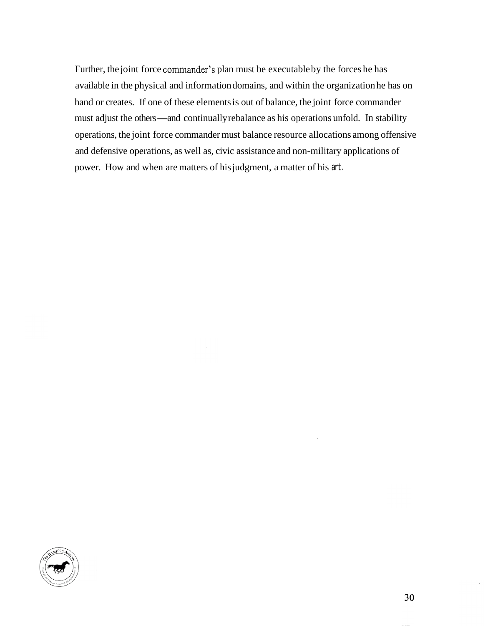Further, the joint force commander's plan must be executable by the forces he has available in the physical and information domains, and within the organization he has on hand or creates. If one of these elements is out of balance, the joint force commander hand or creates. If one of these elements is out of balance, the joint force commander must adjust the others—and continually rebalance as his operations unfold. In stability operations, the joint force commander must balance resource allocations among offensive and defensive operations, as well as, civic assistance and non-military applications of power. How and when are matters of his judgment, a matter of his art.

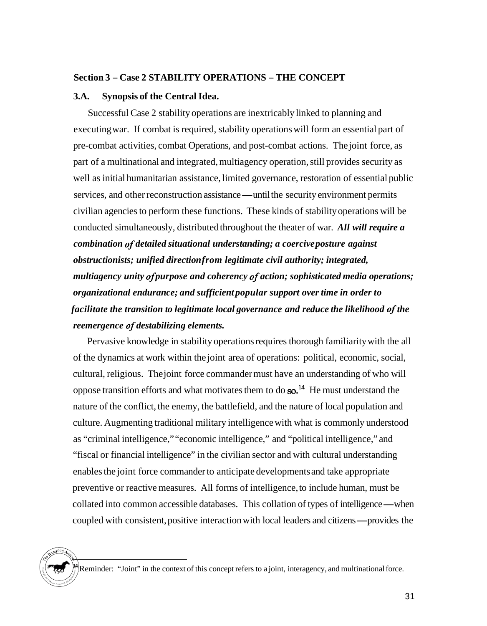#### **Section 3** - **Case 2 STABILITY OPERATIONS** - **THE CONCEPT**

### **3.A. Synopsis of the Central Idea.**

Successful Case 2 stability operations are inextricably linked to planning and executing war. If combat is required, stability operations will form an essential part of pre-combat activities, combat Operations, and post-combat actions. The joint force, as part of a multinational and integrated, multiagency operation, still provides security as well as initial humanitarian assistance, limited governance, restoration of essential public services, and other reconstruction assistance—until the security environment permits vervices, and other reconstruction assistance—until the security environment permits civilian agencies to perform these functions. These kinds of stability operations will be conducted simultaneously, distributed throughout the theater of war. *All will require a combination of detailed situational understanding; a coercive posture against obstructionists; unified direction from legitimate civil authority; integrated, multiagency unity of purpose and coherency of action; sophisticated media operations; organizational endurance; and sufficient popular support over time in order to facilitate the transition to legitimate local governance and reduce the likelihood of the reemergence of destabilizing elements.* 

Pervasive knowledge in stability operations requires thorough familiarity with the all of the dynamics at work within the joint area of operations: political, economic, social, cultural, religious. The joint force commander must have an understanding of who will oppose transition efforts and what motivates them to do so.<sup>14</sup> He must understand the nature of the conflict, the enemy, the battlefield, and the nature of local population and culture. Augmenting traditional military intelligence with what is commonly understood as "criminal intelligence," "economic intelligence," and "political intelligence," and "fiscal or financial intelligence" in the civilian sector and with cultural understanding enables the joint force commander to anticipate developments and take appropriate preventive or reactive measures. All forms of intelligence, to include human, must be preventive or reactive measures. All forms of intelligence, to include human, must be collated into common accessible databases. This collation of types of intelligence—when collated into common accessible databases. This collation of types of intelligence—when<br>coupled with consistent, positive interaction with local leaders and citizens—provides the

Reminder: "Joint" in the context of this concept refers to a joint, interagency, and multinational force.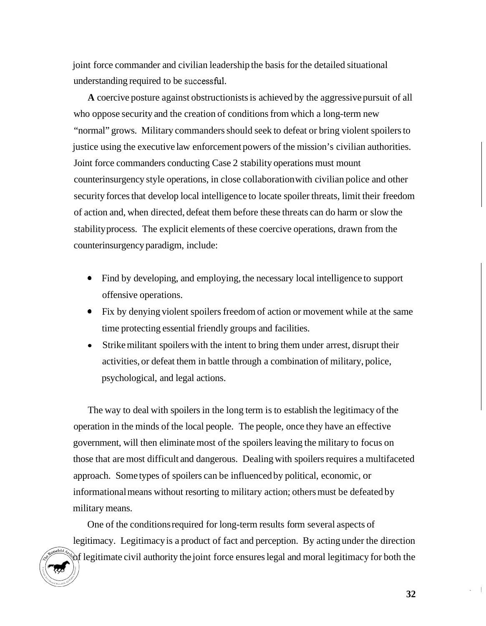joint force commander and civilian leadership the basis for the detailed situational understanding required to be successfid.

**A** coercive posture against obstructionists is achieved by the aggressive pursuit of all who oppose security and the creation of conditions from which a long-term new "normal" grows. Military commanders should seek to defeat or bring violent spoilers to justice using the executive law enforcement powers of the mission's civilian authorities. Joint force commanders conducting Case 2 stability operations must mount counterinsurgency style operations, in close collaboration with civilian police and other security forces that develop local intelligence to locate spoiler threats, limit their freedom of action and, when directed, defeat them before these threats can do harm or slow the stability process. The explicit elements of these coercive operations, drawn from the counterinsurgency paradigm, include:

- *<sup>0</sup>*Find by developing, and employing, the necessary local intelligence to support offensive operations.
- Fix by denying violent spoilers freedom of action or movement while at the same *0*  time protecting essential friendly groups and facilities.
- Strike militant spoilers with the intent to bring them under arrest, disrupt their activities, or defeat them in battle through a combination of military, police, psychological, and legal actions.

The way to deal with spoilers in the long term is to establish the legitimacy of the operation in the minds of the local people. The people, once they have an effective government, will then eliminate most of the spoilers leaving the military to focus on those that are most difficult and dangerous. Dealing with spoilers requires a multifaceted approach. Some types of spoilers can be influenced by political, economic, or informational means without resorting to military action; others must be defeated by military means.

One of the conditions required for long-term results form several aspects of legitimacy. Legitimacy is a product of fact and perception. By acting under the direction of legitimate civil authority the joint force ensures legal and moral legitimacy for both the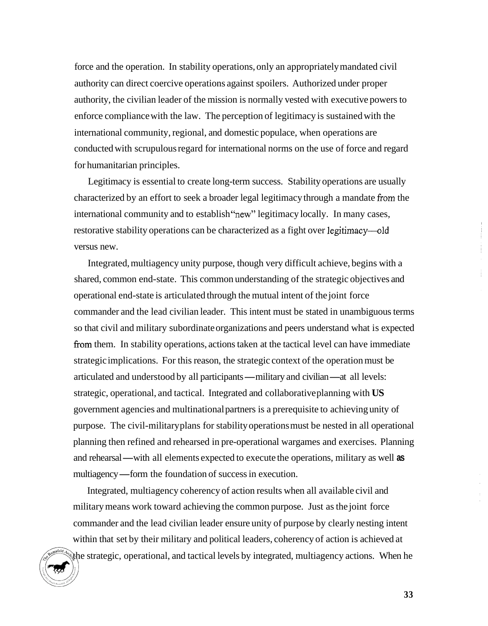force and the operation. In stability operations, only an appropriately mandated civil authority can direct coercive operations against spoilers. Authorized under proper authority, the civilian leader of the mission is normally vested with executive powers to enforce compliance with the law. The perception of legitimacy is sustained with the international community, regional, and domestic populace, when operations are conducted with scrupulous regard for international norms on the use of force and regard for humanitarian principles.

Legitimacy is essential to create long-term success. Stability operations are usually characterized by an effort to seek a broader legal legitimacy through a mandate fiom the international community and to establish "new" legitimacy locally. In many cases, restorative stability operations can be characterized as a fight over legitimacy—old versus new.

Integrated, multiagency unity purpose, though very difficult achieve, begins with a shared, common end-state. This common understanding of the strategic objectives and operational end-state is articulated through the mutual intent of the joint force commander and the lead civilian leader. This intent must be stated in unambiguous terms so that civil and military subordinate organizations and peers understand what is expected from them. In stability operations, actions taken at the tactical level can have immediate strategic implications. For this reason, the strategic context of the operation must be articulated and understood by all participants—military and civilian—at all levels: strategic, operational, and tactical. Integrated and collaborative planning with **US**  government agencies and multinational partners is a prerequisite to achieving unity of purpose. The civil-military plans for stability operations must be nested in all operational planning then refined and rehearsed in pre-operational wargames and exercises. Planning planning then refined and rehearsed in pre-operational wargames and exercises. Plannin and rehearsal — with all elements expected to execute the operations, military as well as and rehearsal—with all elements expected to execute the op<br>multiagency—form the foundation of success in execution.

Integrated, multiagency coherency of action results when all available civil and military means work toward achieving the common purpose. Just as the joint force commander and the lead civilian leader ensure unity of purpose by clearly nesting intent within that set by their military and political leaders, coherency of action is achieved at the strategic, operational, and tactical levels by integrated, multiagency actions. When he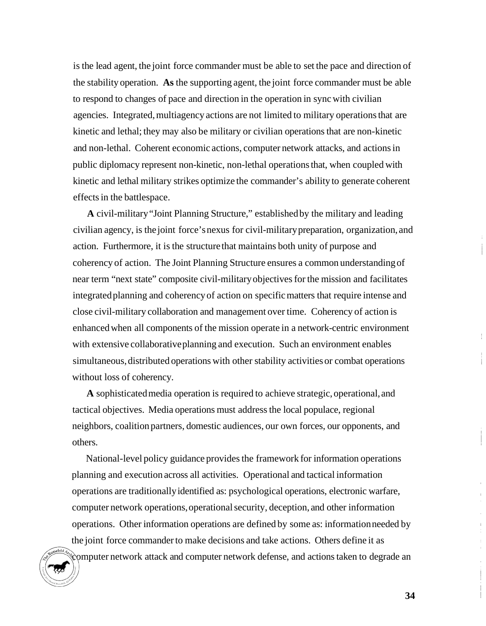is the lead agent, the joint force commander must be able to set the pace and direction of the stability operation. **As** the supporting agent, the joint force commander must be able to respond to changes of pace and direction in the operation in sync with civilian agencies. Integrated, multiagency actions are not limited to military operations that are kinetic and lethal; they may also be military or civilian operations that are non-kinetic and non-lethal. Coherent economic actions, computer network attacks, and actions in public diplomacy represent non-kinetic, non-lethal operations that, when coupled with kinetic and lethal military strikes optimize the commander's ability to generate coherent effects in the battlespace.

**A** civil-military "Joint Planning Structure," established by the military and leading civilian agency, is the joint force's nexus for civil-military preparation, organization, and action. Furthermore, it is the structure that maintains both unity of purpose and coherency of action. The Joint Planning Structure ensures a common understanding of near term "next state" composite civil-military objectives for the mission and facilitates integrated planning and coherency of action on specific matters that require intense and close civil-military collaboration and management over time. Coherency of action is enhanced when all components of the mission operate in a network-centric environment with extensive collaborative planning and execution. Such an environment enables simultaneous, distributed operations with other stability activities or combat operations without loss of coherency.

**A** sophisticated media operation is required to achieve strategic, operational, and tactical objectives. Media operations must address the local populace, regional neighbors, coalition partners, domestic audiences, our own forces, our opponents, and others.

National-level policy guidance provides the framework for information operations planning and execution across all activities. Operational and tactical information operations are traditionally identified as: psychological operations, electronic warfare, computer network operations, operational security, deception, and other information operations. Other information operations are defined by some as: information needed by the joint force commander to make decisions and take actions. Others define it as computer network attack and computer network defense, and actions taken to degrade an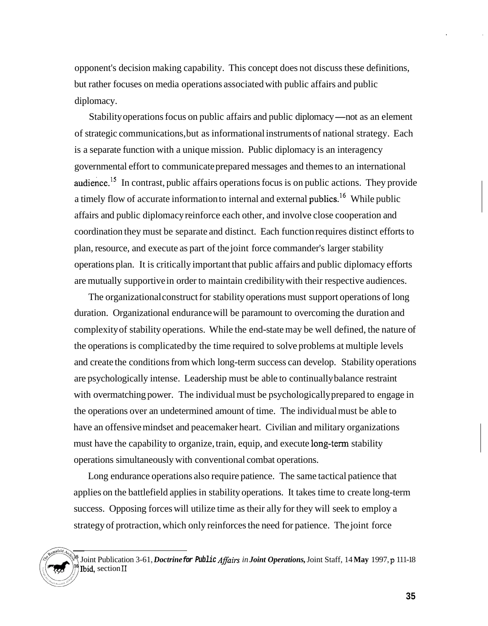opponent's decision making capability. This concept does not discuss these definitions, but rather focuses on media operations associated with public affairs and public diplomacy.

Stability operations focus on public affairs and public diplomacy—not as an element of strategic communications, but as informational instruments of national strategy. Each is a separate function with a unique mission. Public diplomacy is an interagency governmental effort to communicate prepared messages and themes to an international audience.<sup>15</sup> In contrast, public affairs operations focus is on public actions. They provide a timely flow of accurate information to internal and external publics.<sup>16</sup> While public affairs and public diplomacy reinforce each other, and involve close cooperation and coordination they must be separate and distinct. Each function requires distinct efforts to plan, resource, and execute as part of the joint force commander's larger stability operations plan. It is critically important that public affairs and public diplomacy efforts are mutually supportive in order to maintain credibility with their respective audiences.

The organizational construct for stability operations must support operations of long duration. Organizational endurance will be paramount to overcoming the duration and complexity of stability operations. While the end-state may be well defined, the nature of the operations is complicated by the time required to solve problems at multiple levels and create the conditions from which long-term success can develop. Stability operations are psychologically intense. Leadership must be able to continually balance restraint with overmatching power. The individual must be psychologically prepared to engage in the operations over an undetermined amount of time. The individual must be able to have an offensive mindset and peacemaker heart. Civilian and military organizations must have the capability to organize, train, equip, and execute long-tern stability operations simultaneously with conventional combat operations.

Long endurance operations also require patience. The same tactical patience that applies on the battlefield applies in stability operations. It takes time to create long-term success. Opposing forces will utilize time as their ally for they will seek to employ a strategy of protraction, which only reinforces the need for patience. The joint force



Joint Publication 3-61, *Doctrine for Public Afairs in Joint Operations,* Joint Staff, 14 **May** 1997, **p** 111-18 **15**  bid, section **I1 16**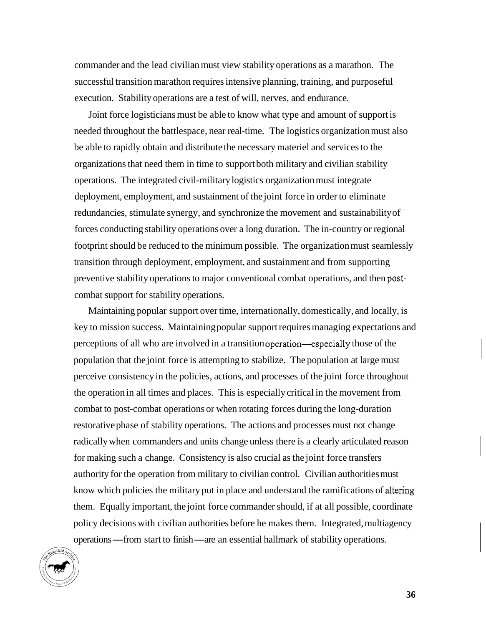commander and the lead civilian must view stability operations as a marathon. The successful transition marathon requires intensive planning, training, and purposeful execution. Stability operations are a test of will, nerves, and endurance.

Joint force logisticians must be able to know what type and amount of support is needed throughout the battlespace, near real-time. The logistics organization must also be able to rapidly obtain and distribute the necessary materiel and services to the organizations that need them in time to support both military and civilian stability operations. The integrated civil-military logistics organization must integrate deployment, employment, and sustainment of the joint force in order to eliminate redundancies, stimulate synergy, and synchronize the movement and sustainability of forces conducting stability operations over a long duration. The in-country or regional footprint should be reduced to the minimum possible. The organization must seamlessly transition through deployment, employment, and sustainment and from supporting preventive stability operations to major conventional combat operations, and then postcombat support for stability operations.

Maintaining popular support over time, internationally, domestically, and locally, is key to mission success. Maintaining popular support requires managing expectations and perceptions of all who are involved in a transition operation-epecially those of the population that the joint force is attempting to stabilize. The population at large must perceive consistency in the policies, actions, and processes of the joint force throughout the operation in all times and places. This is especially critical in the movement from combat to post-combat operations or when rotating forces during the long-duration restorative phase of stability operations. The actions and processes must not change radically when commanders and units change unless there is a clearly articulated reason for making such a change. Consistency is also crucial as the joint force transfers authority for the operation from military to civilian control. Civilian authorities must know which policies the military put in place and understand the ramifications of altering them. Equally important, the joint force commander should, if at all possible, coordinate policy decisions with civilian authorities before he makes them. Integrated, multiagency operations-from start to finish-are an essential hallmark of stability operations.

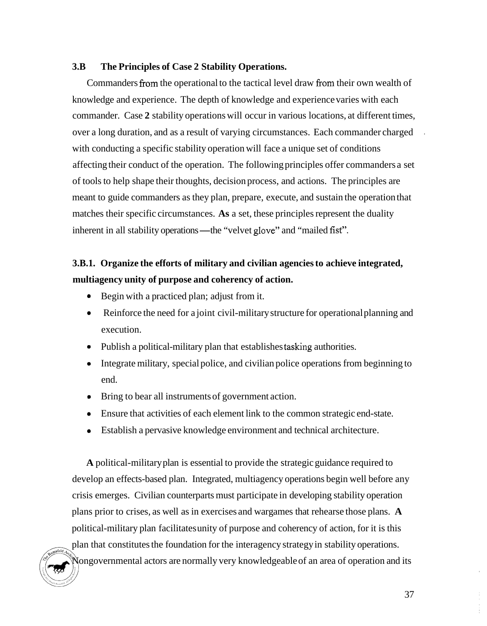## **3.B The Principles of Case 2 Stability Operations.**

Commanders from the operational to the tactical level draw from their own wealth of knowledge and experience. The depth of knowledge and experience varies with each commander. Case **2** stability operations will occur in various locations, at different times, over a long duration, and as a result of varying circumstances. Each commander charged with conducting a specific stability operation will face a unique set of conditions affecting their conduct of the operation. The following principles offer commanders a set of tools to help shape their thoughts, decision process, and actions. The principles are meant to guide commanders as they plan, prepare, execute, and sustain the operation that matches their specific circumstances. **As** a set, these principles represent the duality inherent in all stability operations—the "velvet glove" and "mailed fist".

# **3.B.1. Organize the efforts of military and civilian agencies to achieve integrated, multiagency unity of purpose and coherency of action.**

- Begin with a practiced plan; adjust from it.
- Reinforce the need for a joint civil-military structure for operational planning and  $\bullet$ execution.
- Publish a political-military plan that establishes tasking authorities.
- Integrate military, special police, and civilian police operations from beginning to end.
- Bring to bear all instruments of government action.
- Ensure that activities of each element link to the common strategic end-state.
- Establish a pervasive knowledge environment and technical architecture.

**A** political-military plan is essential to provide the strategic guidance required to develop an effects-based plan. Integrated, multiagency operations begin well before any crisis emerges. Civilian counterparts must participate in developing stability operation plans prior to crises, as well as in exercises and wargames that rehearse those plans. **A**  political-military plan facilitates unity of purpose and coherency of action, for it is this plan that constitutes the foundation for the interagency strategy in stability operations. Nongovernmental actors are normally very knowledgeable of an area of operation and its .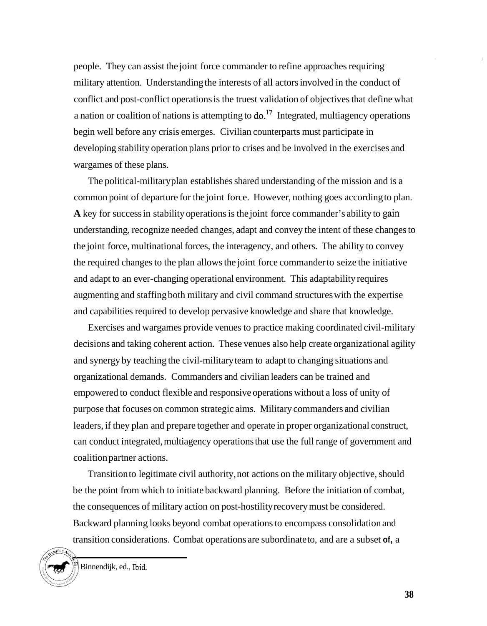people. They can assist the joint force commander to refine approaches requiring military attention. Understanding the interests of all actors involved in the conduct of conflict and post-conflict operations is the truest validation of objectives that define what a nation or coalition of nations is attempting to  $\delta$ .<sup>17</sup> Integrated, multiagency operations begin well before any crisis emerges. Civilian counterparts must participate in developing stability operation plans prior to crises and be involved in the exercises and wargames of these plans.

The political-military plan establishes shared understanding of the mission and is a common point of departure for the joint force. However, nothing goes according to plan. **A** key for success in stability operations is the joint force commander's ability to gain understanding, recognize needed changes, adapt and convey the intent of these changes to the joint force, multinational forces, the interagency, and others. The ability to convey the required changes to the plan allows the joint force commander to seize the initiative and adapt to an ever-changing operational environment. This adaptability requires augmenting and staffing both military and civil command structures with the expertise and capabilities required to develop pervasive knowledge and share that knowledge.

Exercises and wargames provide venues to practice making coordinated civil-military decisions and taking coherent action. These venues also help create organizational agility and synergy by teaching the civil-military team to adapt to changing situations and organizational demands. Commanders and civilian leaders can be trained and empowered to conduct flexible and responsive operations without a loss of unity of purpose that focuses on common strategic aims. Military commanders and civilian leaders, if they plan and prepare together and operate in proper organizational construct, can conduct integrated, multiagency operations that use the full range of government and coalition partner actions.

Transition to legitimate civil authority, not actions on the military objective, should be the point from which to initiate backward planning. Before the initiation of combat, the consequences of military action on post-hostility recovery must be considered. Backward planning looks beyond combat operations to encompass consolidation and transition considerations. Combat operations are subordinate to, and are a subset **of,** a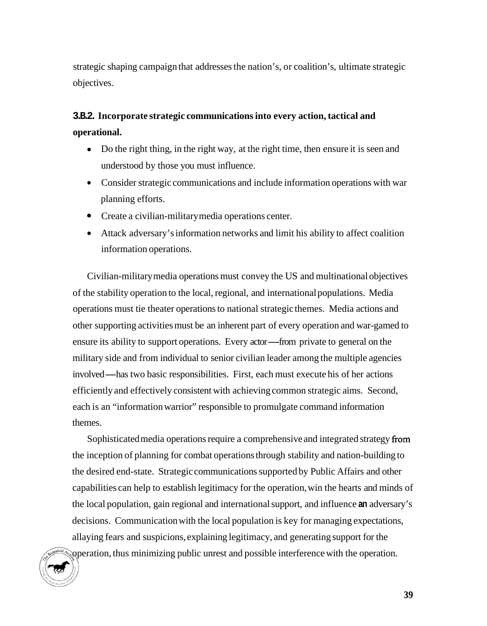strategic shaping campaign that addresses the nation's, or coalition's, ultimate strategic objectives.

# **3.B.2. Incorporate strategic communications into every action, tactical and operational.**

- Do the right thing, in the right way, at the right time, then ensure it is seen and understood by those you must influence.
- Consider strategic communications and include information operations with war planning efforts.
- Create a civilian-military media operations center. *0*
- Attack adversary's information networks and limit his ability to affect coalition information operations.

Civilian-military media operations must convey the US and multinational objectives of the stability operation to the local, regional, and international populations. Media operations must tie theater operations to national strategic themes. Media actions and other supporting activities must be an inherent part of every operation and war-gamed to ensure its ability to support operations. Every actor-from private to general on the military side and from individual to senior civilian leader among the multiple agencies military side and from individual to senior civilian leader among the multiple agencion<br>involved—has two basic responsibilities. First, each must execute his of her actions efficiently and effectively consistent with achieving common strategic aims. Second, each is an "information warrior" responsible to promulgate command information themes.

Sophisticated media operations require a comprehensive and integrated strategy from the inception of planning for combat operations through stability and nation-building to the desired end-state. Strategic communications supported by Public Affairs and other capabilities can help to establish legitimacy for the operation, win the hearts and minds of the local population, gain regional and international support, and influence **an** adversary's decisions. Communication with the local population is key for managing expectations, allaying fears and suspicions, explaining legitimacy, and generating support for the operation, thus minimizing public unrest and possible interference with the operation.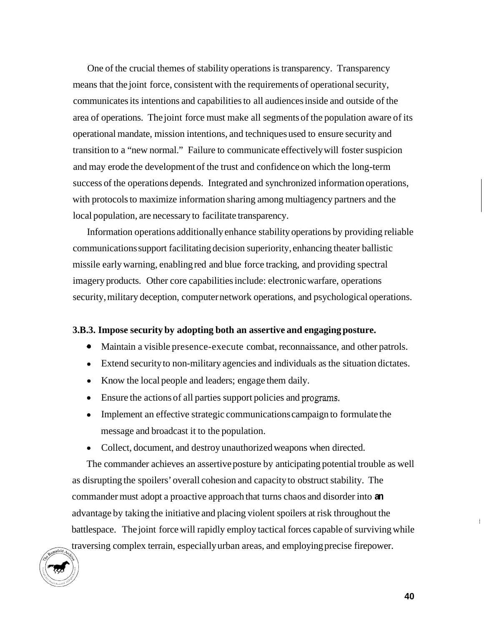One of the crucial themes of stability operations is transparency. Transparency means that the joint force, consistent with the requirements of operational security, communicates its intentions and capabilities to all audiences inside and outside of the area of operations. The joint force must make all segments of the population aware of its operational mandate, mission intentions, and techniques used to ensure security and transition to a "new normal." Failure to communicate effectively will foster suspicion and may erode the development of the trust and confidence on which the long-term success of the operations depends. Integrated and synchronized information operations, with protocols to maximize information sharing among multiagency partners and the local population, are necessary to facilitate transparency.

Information operations additionally enhance stability operations by providing reliable communications support facilitating decision superiority, enhancing theater ballistic missile early warning, enabling red and blue force tracking, and providing spectral imagery products. Other core capabilities include: electronic warfare, operations security, military deception, computer network operations, and psychological operations.

### **3.B.3. Impose security by adopting both an assertive and engaging posture.**

- *<sup>0</sup>*Maintain a visible presence-execute combat, reconnaissance, and other patrols.
- Extend security to non-military agencies and individuals as the situation dictates.
- Know the local people and leaders; engage them daily.
- Ensure the actions of all parties support policies and programs.
- Implement an effective strategic communications campaign to formulate the message and broadcast it to the population.
- Collect, document, and destroy unauthorized weapons when directed.

The commander achieves an assertive posture by anticipating potential trouble as well as disrupting the spoilers' overall cohesion and capacity to obstruct stability. The commander must adopt a proactive approach that turns chaos and disorder into **an**  advantage by taking the initiative and placing violent spoilers at risk throughout the battlespace. The joint force will rapidly employ tactical forces capable of surviving while traversing complex terrain, especially urban areas, and employing precise firepower.

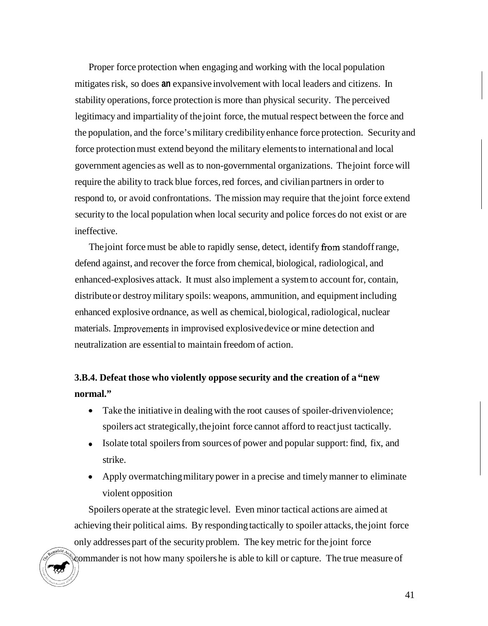Proper force protection when engaging and working with the local population mitigates risk, so does **an** expansive involvement with local leaders and citizens. In stability operations, force protection is more than physical security. The perceived legitimacy and impartiality of the joint force, the mutual respect between the force and the population, and the force's military credibility enhance force protection. Security and force protection must extend beyond the military elements to international and local government agencies as well as to non-governmental organizations. The joint force will require the ability to track blue forces, red forces, and civilian partners in order to respond to, or avoid confrontations. The mission may require that the joint force extend security to the local population when local security and police forces do not exist or are ineffective.

The joint force must be able to rapidly sense, detect, identify from standoff range, defend against, and recover the force from chemical, biological, radiological, and enhanced-explosives attack. It must also implement a system to account for, contain, distribute or destroy military spoils: weapons, ammunition, and equipment including enhanced explosive ordnance, as well as chemical, biological, radiological, nuclear materials. Improvements in improvised explosive device or mine detection and neutralization are essential to maintain freedom of action.

# **3.B.4. Defeat those who violently oppose security and the creation of a "new normal."**

- Take the initiative in dealing with the root causes of spoiler-driven violence; spoilers act strategically, the joint force cannot afford to react just tactically.
- Isolate total spoilers from sources of power and popular support: find, fix, and strike.
- Apply overmatching military power in a precise and timely manner to eliminate violent opposition

Spoilers operate at the strategic level. Even minor tactical actions are aimed at achieving their political aims. By responding tactically to spoiler attacks, the joint force only addresses part of the security problem. The key metric for the joint force commander is not how many spoilers he is able to kill or capture. The true measure of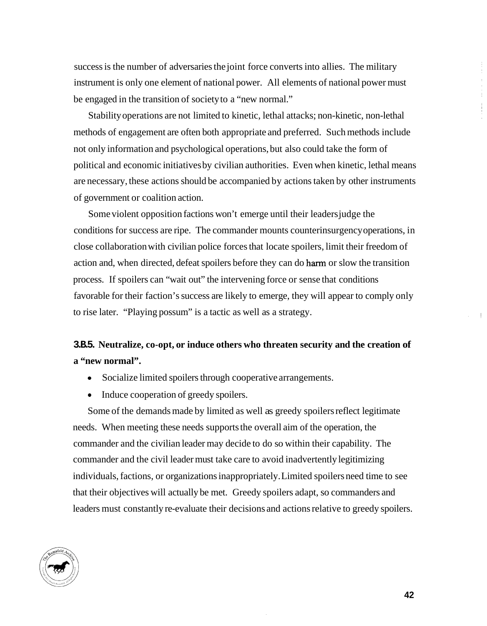success is the number of adversaries the joint force converts into allies. The military instrument is only one element of national power. All elements of national power must be engaged in the transition of society to a "new normal."

Stability operations are not limited to kinetic, lethal attacks; non-kinetic, non-lethal methods of engagement are often both appropriate and preferred. Such methods include not only information and psychological operations, but also could take the form of political and economic initiatives by civilian authorities. Even when kinetic, lethal means are necessary, these actions should be accompanied by actions taken by other instruments of government or coalition action.

Some violent opposition factions won't emerge until their leaders judge the conditions for success are ripe. The commander mounts counterinsurgency operations, in close collaboration with civilian police forces that locate spoilers, limit their freedom of action and, when directed, defeat spoilers before they can do ham or slow the transition process. If spoilers can "wait out" the intervening force or sense that conditions favorable for their faction's success are likely to emerge, they will appear to comply only to rise later. "Playing possum" is a tactic as well as a strategy.

# **3.B.5. Neutralize, co-opt, or induce others who threaten security and the creation of a "new normal".**

- $\bullet$ Socialize limited spoilers through cooperative arrangements.
- Induce cooperation of greedy spoilers.

Some of the demands made by limited as well as greedy spoilers reflect legitimate needs. When meeting these needs supports the overall aim of the operation, the commander and the civilian leader may decide to do so within their capability. The commander and the civil leader must take care to avoid inadvertently legitimizing individuals, factions, or organizations inappropriately. Limited spoilers need time to see that their objectives will actually be met. Greedy spoilers adapt, so commanders and leaders must constantly re-evaluate their decisions and actions relative to greedy spoilers.

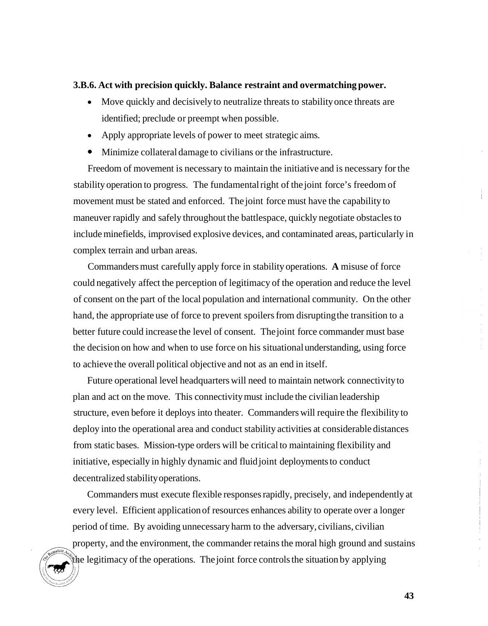#### **3.B.6. Act with precision quickly. Balance restraint and overmatching power.**

- Move quickly and decisively to neutralize threats to stability once threats are identified; preclude or preempt when possible.
- Apply appropriate levels of power to meet strategic aims.
- *0* Minimize collateral damage to civilians or the infrastructure.

Freedom of movement is necessary to maintain the initiative and is necessary for the stability operation to progress. The fundamental right of the joint force's freedom of movement must be stated and enforced. The joint force must have the capability to maneuver rapidly and safely throughout the battlespace, quickly negotiate obstacles to include minefields, improvised explosive devices, and contaminated areas, particularly in complex terrain and urban areas.

Commanders must carefully apply force in stability operations. **A** misuse of force could negatively affect the perception of legitimacy of the operation and reduce the level of consent on the part of the local population and international community. On the other hand, the appropriate use of force to prevent spoilers from disrupting the transition to a better future could increase the level of consent. The joint force commander must base the decision on how and when to use force on his situational understanding, using force to achieve the overall political objective and not as an end in itself.

Future operational level headquarters will need to maintain network connectivity to plan and act on the move. This connectivity must include the civilian leadership structure, even before it deploys into theater. Commanders will require the flexibility to deploy into the operational area and conduct stability activities at considerable distances from static bases. Mission-type orders will be critical to maintaining flexibility and initiative, especially in highly dynamic and fluid joint deployments to conduct decentralized stability operations.

Commanders must execute flexible responses rapidly, precisely, and independently at every level. Efficient application of resources enhances ability to operate over a longer period of time. By avoiding unnecessary harm to the adversary, civilians, civilian property, and the environment, the commander retains the moral high ground and sustains the legitimacy of the operations. The joint force controls the situation by applying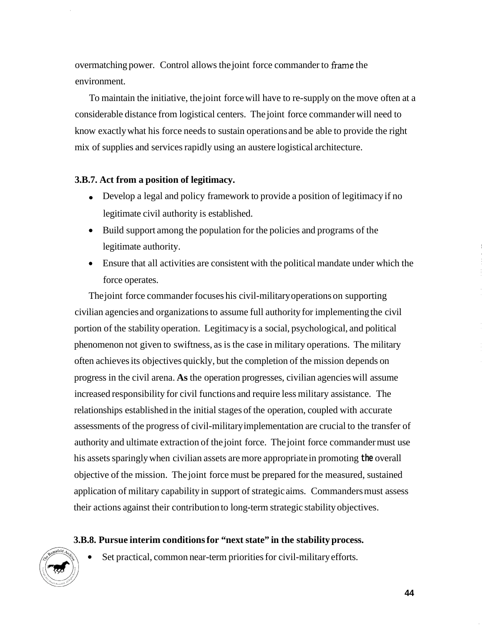overmatching power. Control allows the joint force commander to frame the environment.

To maintain the initiative, the joint force will have to re-supply on the move often at a considerable distance from logistical centers. The joint force commander will need to know exactly what his force needs to sustain operations and be able to provide the right mix of supplies and services rapidly using an austere logistical architecture.

### **3.B.7. Act from a position of legitimacy.**

- Develop a legal and policy framework to provide a position of legitimacy if no legitimate civil authority is established.
- Build support among the population for the policies and programs of the legitimate authority.
- Ensure that all activities are consistent with the political mandate under which the force operates.

The joint force commander focuses his civil-military operations on supporting civilian agencies and organizations to assume full authority for implementing the civil portion of the stability operation. Legitimacy is a social, psychological, and political phenomenon not given to swiftness, as is the case in military operations. The military often achieves its objectives quickly, but the completion of the mission depends on progress in the civil arena. **As** the operation progresses, civilian agencies will assume increased responsibility for civil functions and require less military assistance. The relationships established in the initial stages of the operation, coupled with accurate assessments of the progress of civil-military implementation are crucial to the transfer of authority and ultimate extraction of the joint force. The joint force commander must use his assets sparingly when civilian assets are more appropriate in promoting **the** overall objective of the mission. The joint force must be prepared for the measured, sustained application of military capability in support of strategic aims. Commanders must assess their actions against their contribution to long-term strategic stability objectives.

## **3.B.8. Pursue interim conditions for "next state" in the stability process.**



Set practical, common near-term priorities for civil-military efforts.

**44** 

 $\begin{array}{c} 1 \\ 1 \\ 2 \end{array}$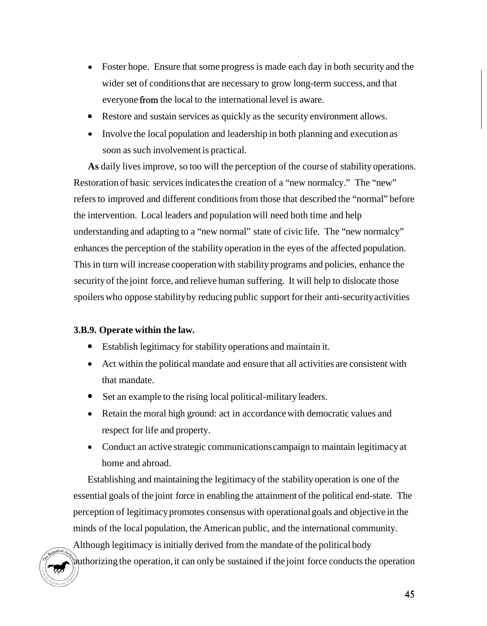- Foster hope. Ensure that some progress is made each day in both security and the wider set of conditions that are necessary to grow long-term success, and that everyone from the local to the international level is aware.
- Restore and sustain services as quickly as the security environment allows. *0*
- Involve the local population and leadership in both planning and execution as soon as such involvement is practical.

**As** daily lives improve, so too will the perception of the course of stability operations. Restoration of basic services indicates the creation of a "new normalcy." The "new" refers to improved and different conditions from those that described the "normal" before the intervention. Local leaders and population will need both time and help understanding and adapting to a "new normal" state of civic life. The "new normalcy" enhances the perception of the stability operation in the eyes of the affected population. This in turn will increase cooperation with stability programs and policies, enhance the security of the joint force, and relieve human suffering. It will help to dislocate those spoilers who oppose stability by reducing public support for their anti-security activities

## **3.B.9. Operate within the law.**

- *<sup>0</sup>*Establish legitimacy for stability operations and maintain it.
- Act within the political mandate and ensure that all activities are consistent with that mandate.
- Set an example to the rising local political-military leaders. *0*
- Retain the moral high ground: act in accordance with democratic values and respect for life and property.
- Conduct an active strategic communications campaign to maintain legitimacy at home and abroad.

Establishing and maintaining the legitimacy of the stability operation is one of the essential goals of the joint force in enabling the attainment of the political end-state. The perception of legitimacy promotes consensus with operational goals and objective in the minds of the local population, the American public, and the international community.

Although legitimacy is initially derived from the mandate of the political body authorizing the operation, it can only be sustained if the joint force conducts the operation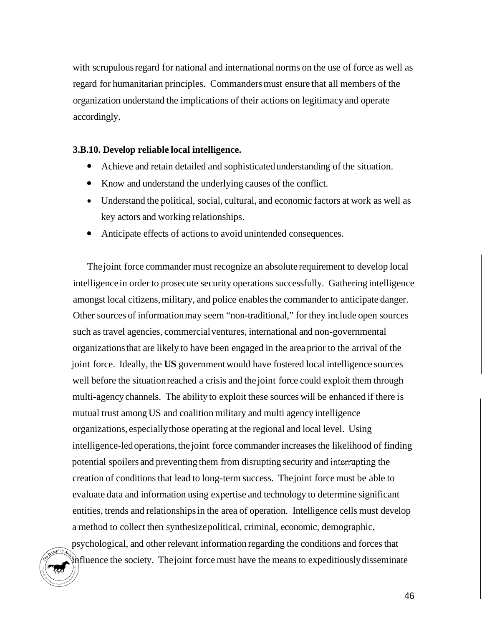with scrupulous regard for national and international norms on the use of force as well as regard for humanitarian principles. Commanders must ensure that all members of the organization understand the implications of their actions on legitimacy and operate accordingly.

### **3.B.10. Develop reliable local intelligence.**

- *0*  Achieve and retain detailed and sophisticated understanding of the situation.
- *0*  Know and understand the underlying causes of the conflict.
- Understand the political, social, cultural, and economic factors at work as well as key actors and working relationships.
- *<sup>0</sup>*Anticipate effects of actions to avoid unintended consequences.

The joint force commander must recognize an absolute requirement to develop local intelligence in order to prosecute security operations successfully. Gathering intelligence amongst local citizens, military, and police enables the commander to anticipate danger. Other sources of information may seem "non-traditional," for they include open sources such as travel agencies, commercial ventures, international and non-governmental organizations that are likely to have been engaged in the area prior to the arrival of the joint force. Ideally, the **US** government would have fostered local intelligence sources well before the situation reached a crisis and the joint force could exploit them through multi-agency channels. The ability to exploit these sources will be enhanced if there is mutual trust among US and coalition military and multi agency intelligence organizations, especially those operating at the regional and local level. Using intelligence-led operations, the joint force commander increases the likelihood of finding potential spoilers and preventing them from disrupting security and interrupting the creation of conditions that lead to long-term success. The joint force must be able to evaluate data and information using expertise and technology to determine significant entities, trends and relationships in the area of operation. Intelligence cells must develop a method to collect then synthesize political, criminal, economic, demographic,

psychological, and other relevant information regarding the conditions and forces that influence the society. The joint force must have the means to expeditiously disseminate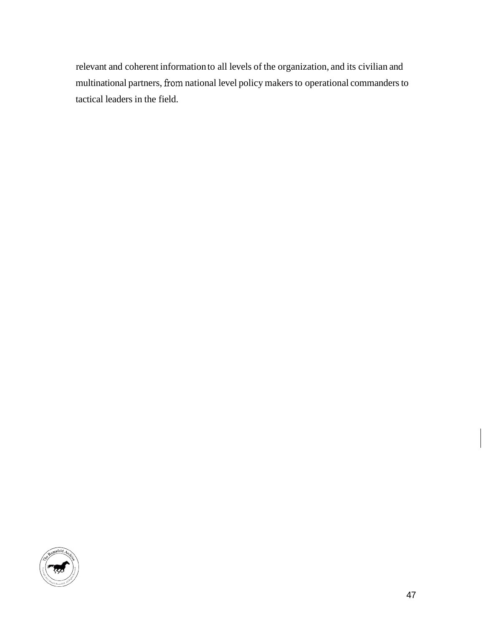relevant and coherent information to all levels of the organization, and its civilian and multinational partners, fiom national level policy makers to operational commanders to tactical leaders in the field.

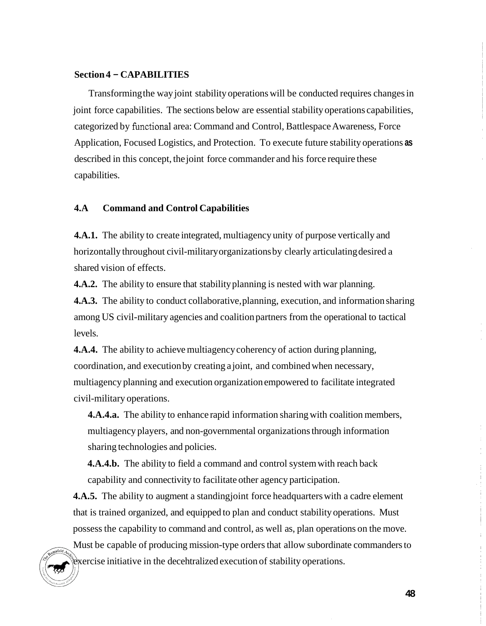### **Section 4** - **CAPABILITIES**

Transforming the way joint stability operations will be conducted requires changes in joint force capabilities. The sections below are essential stability operations capabilities, categorized by functional area: Command and Control, Battlespace Awareness, Force Application, Focused Logistics, and Protection. To execute future stability operations **as**  described in this concept, the joint force commander and his force require these capabilities.

## **4.A Command and Control Capabilities**

**4.A.1.** The ability to create integrated, multiagency unity of purpose vertically and horizontally throughout civil-military organizations by clearly articulating desired a shared vision of effects.

**4.A.2.** The ability to ensure that stability planning is nested with war planning.

**4.A.3.** The ability to conduct collaborative, planning, execution, and information sharing among US civil-military agencies and coalition partners from the operational to tactical levels.

**4.A.4.** The ability to achieve multiagency coherency of action during planning, coordination, and execution by creating a joint, and combined when necessary, multiagency planning and execution organization empowered to facilitate integrated civil-military operations.

**4.A.4.a.** The ability to enhance rapid information sharing with coalition members, multiagency players, and non-governmental organizations through information sharing technologies and policies.

**4.A.4.b.** The ability to field a command and control system with reach back capability and connectivity to facilitate other agency participation.

**4.A.5.** The ability to augment a standing joint force headquarters with a cadre element that is trained organized, and equipped to plan and conduct stability operations. Must possess the capability to command and control, as well as, plan operations on the move.

Must be capable of producing mission-type orders that allow subordinate commanders to exercise initiative in the decehtralized execution of stability operations.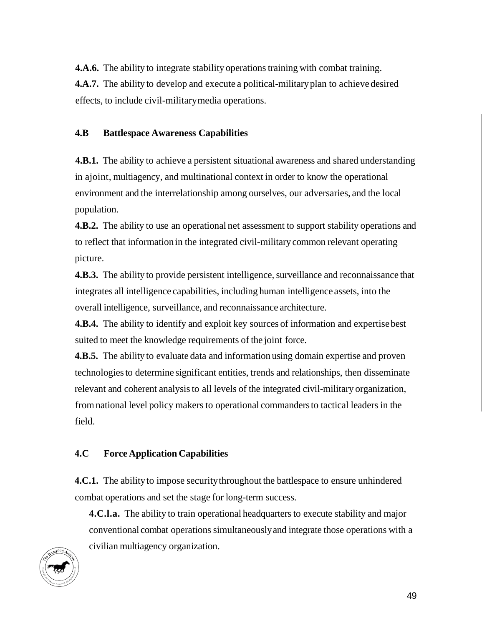**4.A.6.** The ability to integrate stability operations training with combat training. **4.A.7.** The ability to develop and execute a political-military plan to achieve desired effects, to include civil-military media operations.

## **4.B Battlespace Awareness Capabilities**

**4.B.1.** The ability to achieve a persistent situational awareness and shared understanding in ajoint, multiagency, and multinational context in order to know the operational environment and the interrelationship among ourselves, our adversaries, and the local population.

**4.B.2.** The ability to use an operational net assessment to support stability operations and to reflect that information in the integrated civil-military common relevant operating picture.

**4.B.3.** The ability to provide persistent intelligence, surveillance and reconnaissance that integrates all intelligence capabilities, including human intelligence assets, into the overall intelligence, surveillance, and reconnaissance architecture.

**4.B.4.** The ability to identify and exploit key sources of information and expertise best suited to meet the knowledge requirements of the joint force.

**4.B.5.** The ability to evaluate data and information using domain expertise and proven technologies to determine significant entities, trends and relationships, then disseminate relevant and coherent analysis to all levels of the integrated civil-military organization, from national level policy makers to operational commanders to tactical leaders in the field.

# **4.C Force Application Capabilities**

**4.C.1.** The ability to impose security throughout the battlespace to ensure unhindered combat operations and set the stage for long-term success.

**4.C.l.a.** The ability to train operational headquarters to execute stability and major conventional combat operations simultaneously and integrate those operations with a civilian multiagency organization.

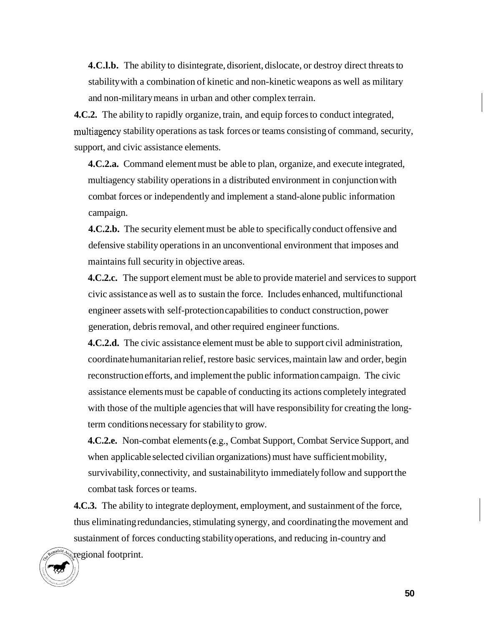**4.C.l.b.** The ability to disintegrate, disorient, dislocate, or destroy direct threats to stability with a combination of kinetic and non-kinetic weapons as well as military and non-military means in urban and other complex terrain.

**4.C.2.** The ability to rapidly organize, train, and equip forces to conduct integrated, multiagency stability operations as task forces or teams consisting of command, security, support, and civic assistance elements.

**4.C.2.a.** Command element must be able to plan, organize, and execute integrated, multiagency stability operations in a distributed environment in conjunction with combat forces or independently and implement a stand-alone public information campaign.

**4.C.2.b.** The security element must be able to specifically conduct offensive and defensive stability operations in an unconventional environment that imposes and maintains full security in objective areas.

**4.C.2.c.** The support element must be able to provide materiel and services to support civic assistance as well as to sustain the force. Includes enhanced, multifunctional engineer assets with self-protection capabilities to conduct construction, power generation, debris removal, and other required engineer functions.

**4.C.2.d.** The civic assistance element must be able to support civil administration, coordinate humanitarian relief, restore basic services, maintain law and order, begin reconstruction efforts, and implement the public information campaign. The civic assistance elements must be capable of conducting its actions completely integrated with those of the multiple agencies that will have responsibility for creating the longterm conditions necessary for stability to grow.

**4.C.2.e.** Non-combat elements (e.g., Combat Support, Combat Service Support, and when applicable selected civilian organizations) must have sufficient mobility, survivability, connectivity, and sustainability to immediately follow and support the combat task forces or teams.

**4.C.3.** The ability to integrate deployment, employment, and sustainment of the force, thus eliminating redundancies, stimulating synergy, and coordinating the movement and sustainment of forces conducting stability operations, and reducing in-country and regional footprint.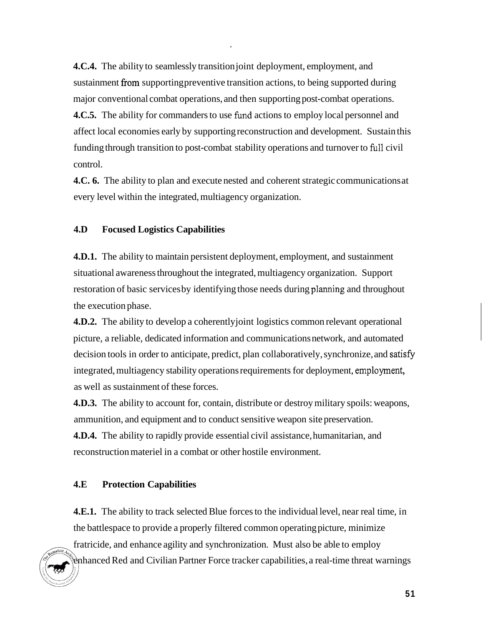**4.C.4.** The ability to seamlessly transition joint deployment, employment, and sustainment from supporting preventive transition actions, to being supported during major conventional combat operations, and then supporting post-combat operations. **4.C.5.** The ability for commanders to use fund actions to employ local personnel and affect local economies early by supporting reconstruction and development. Sustain this funding through transition to post-combat stability operations and turnover to full civil control.

**4.C. 6.** The ability to plan and execute nested and coherent strategic communications at every level within the integrated, multiagency organization.

## **4.D Focused Logistics Capabilities**

**4.D.1.** The ability to maintain persistent deployment, employment, and sustainment situational awareness throughout the integrated, multiagency organization. Support restoration of basic services by identifying those needs during planning and throughout the execution phase.

**4.D.2.** The ability to develop a coherently joint logistics common relevant operational picture, a reliable, dedicated information and communications network, and automated decision tools in order to anticipate, predict, plan collaboratively, synchronize, and satisfy integrated, multiagency stability operations requirements for deployment, employment, as well as sustainment of these forces.

**4.D.3.** The ability to account for, contain, distribute or destroy military spoils: weapons, ammunition, and equipment and to conduct sensitive weapon site preservation.

**4.D.4.** The ability to rapidly provide essential civil assistance, humanitarian, and reconstruction materiel in a combat or other hostile environment.

#### **4.E Protection Capabilities**

**4.E.1.** The ability to track selected Blue forces to the individual level, near real time, in the battlespace to provide a properly filtered common operating picture, minimize fratricide, and enhance agility and synchronization. Must also be able to employ

enhanced Red and Civilian Partner Force tracker capabilities, a real-time threat warnings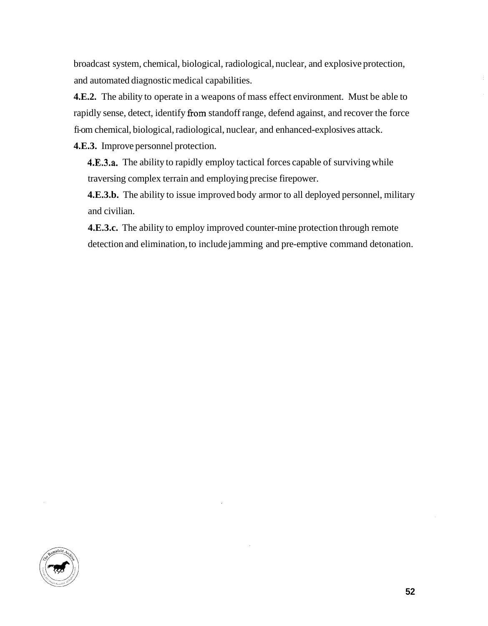broadcast system, chemical, biological, radiological, nuclear, and explosive protection, and automated diagnostic medical capabilities.

**4.E.2.** The ability to operate in a weapons of mass effect environment. Must be able to rapidly sense, detect, identify from standoff range, defend against, and recover the force fi-om chemical, biological, radiological, nuclear, and enhanced-explosives attack.

**4.E.3.** Improve personnel protection.

**4.E.3.a.** The ability to rapidly employ tactical forces capable of surviving while traversing complex terrain and employing precise firepower.

**4.E.3.b.** The ability to issue improved body armor to all deployed personnel, military and civilian.

**4.E.3.c.** The ability to employ improved counter-mine protection through remote detection and elimination, to include jamming and pre-emptive command detonation.

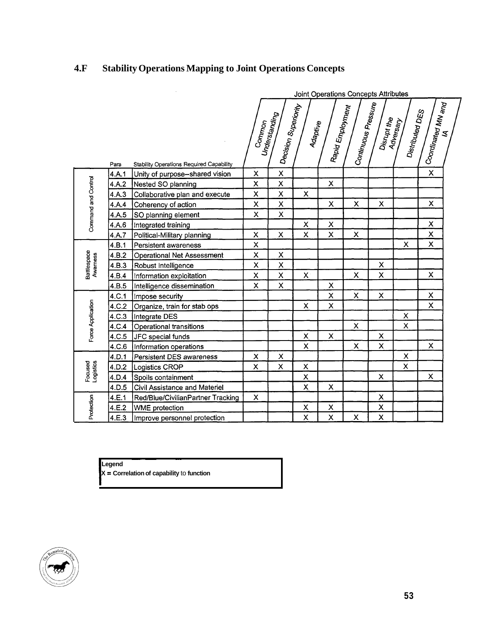# **4.F Stability Operations Mapping to Joint Operations Concepts**

|                         |       |                                                 | Joint Operations Concepts Attributes |                                         |                         |                           |                           |                           |                              |                                                            |  |
|-------------------------|-------|-------------------------------------------------|--------------------------------------|-----------------------------------------|-------------------------|---------------------------|---------------------------|---------------------------|------------------------------|------------------------------------------------------------|--|
|                         | Para  | <b>Stability Operations Required Capability</b> | Common                               | l Decision Superiority<br>Understanding | Adaptive                | Rapid Employment          | Continuous Pressure       | Disrupt the               | Distributed DES<br>Adversary | $\vert$ Co <sub>ordinated</sub> M <sub>N and</sub> $\vert$ |  |
| Command and Control     | 4.A.1 | Unity of purpose--shared vision                 | X                                    | $\pmb{\mathsf{X}}$                      |                         |                           |                           |                           |                              | X                                                          |  |
|                         | 4.A.2 | Nested SO planning                              | X                                    | $\pmb{\mathsf{X}}$                      |                         | $\pmb{\times}$            |                           |                           |                              |                                                            |  |
|                         | 4.A.3 | Collaborative plan and execute                  | X                                    | $\pmb{\mathsf{X}}$                      | $\overline{\mathsf{x}}$ |                           |                           |                           |                              |                                                            |  |
|                         | 4.A.4 | Coherency of action                             | X                                    | $\pmb{\times}$                          |                         | $\pmb{\mathsf{X}}$        | $\boldsymbol{\mathsf{x}}$ | $\boldsymbol{\mathsf{x}}$ |                              | X                                                          |  |
|                         | 4.A.5 | SO planning element                             | X                                    | $\pmb{\times}$                          |                         |                           |                           |                           |                              |                                                            |  |
|                         | 4.A.6 | Integrated training                             |                                      |                                         | X                       | $\pmb{\times}$            |                           |                           |                              | X                                                          |  |
|                         | 4.A.7 | Political-Military planning                     | X                                    | $\mathsf{\overline{X}}$                 | X                       | $\times$                  | $\pmb{\times}$            |                           |                              | X                                                          |  |
| Battlespace<br>Awarness | 4.B.1 | <b>Persistent awareness</b>                     | X                                    |                                         |                         |                           |                           |                           | X                            | X                                                          |  |
|                         | 4.B.2 | <b>Operational Net Assessment</b>               | X                                    | $\pmb{\times}$                          |                         |                           |                           |                           |                              |                                                            |  |
|                         | 4.B.3 | Robust Intelligence                             | X                                    | $\pmb{\mathsf{X}}$                      |                         |                           |                           | $\boldsymbol{\mathsf{x}}$ |                              |                                                            |  |
|                         | 4.B.4 | Information exploitation                        | X                                    | $\mathsf{\mathsf{X}}$                   | $\mathsf{X}^+$          |                           | X                         | X                         |                              | X                                                          |  |
|                         | 4.B.5 | Intelligence dissemination                      | X                                    | $\pmb{\times}$                          |                         | $\boldsymbol{\mathsf{X}}$ |                           |                           |                              |                                                            |  |
| Force Application       | 4.C.1 | Impose security                                 |                                      |                                         |                         | $\pmb{\times}$            | X                         | X                         |                              | X                                                          |  |
|                         | 4.C.2 | Organize, train for stab ops                    |                                      |                                         | X                       | $\pmb{\times}$            |                           |                           |                              | X                                                          |  |
|                         | 4.C.3 | Integrate DES                                   |                                      |                                         |                         |                           |                           |                           | $\boldsymbol{\mathsf{X}}$    |                                                            |  |
|                         | 4.C.4 | Operational transitions                         |                                      |                                         |                         |                           | X                         |                           | X                            |                                                            |  |
|                         | 4.C.5 | JFC special funds                               |                                      |                                         | X                       | $\pmb{\times}$            |                           | X                         |                              |                                                            |  |
|                         | 4.C.6 | Information operations                          |                                      |                                         | X                       |                           | $\pmb{\times}$            | X                         |                              | X                                                          |  |
| Focused<br>Logistics    | 4.D.1 | Persistent DES awareness                        | X                                    | $\pmb{\times}$                          |                         |                           |                           |                           | $\pmb{\times}$               |                                                            |  |
|                         | 4.D.2 | Logistics CROP                                  | X                                    | X                                       | Χ                       |                           |                           |                           | X                            |                                                            |  |
|                         | 4.D.4 | Spoils containment                              |                                      |                                         | X                       |                           |                           | X                         |                              | $\boldsymbol{\mathsf{x}}$                                  |  |
|                         | 4.D.5 | Civil Assistance and Materiel                   |                                      |                                         | X                       | $\pmb{\times}$            |                           |                           |                              |                                                            |  |
| Protection              | 4.E.1 | Red/Blue/CivilianPartner Tracking               | X                                    |                                         |                         |                           |                           | X                         |                              |                                                            |  |
|                         | 4.E.2 | <b>WME</b> protection                           |                                      |                                         | X                       | X                         |                           | X                         |                              |                                                            |  |
|                         | 4.E.3 | Improve personnel protection                    |                                      |                                         | X                       | X                         | X                         | $\overline{\mathsf{x}}$   |                              |                                                            |  |

**Legend** 

~~ ~~  $X =$  **Correlation of capability** to **function** 

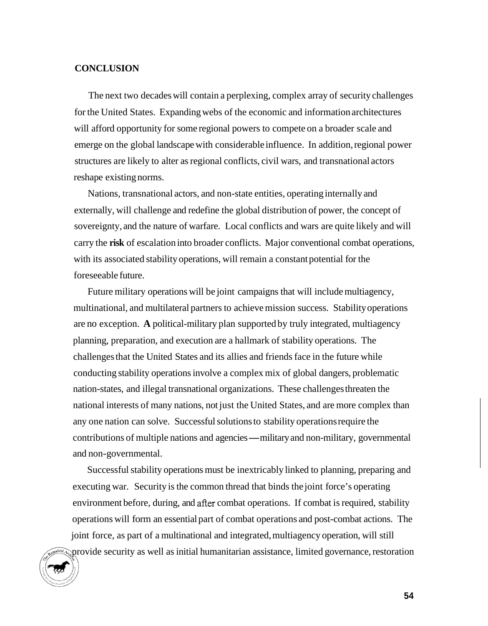## **CONCLUSION**

The next two decades will contain a perplexing, complex array of security challenges for the United States. Expanding webs of the economic and information architectures will afford opportunity for some regional powers to compete on a broader scale and emerge on the global landscape with considerable influence. In addition, regional power structures are likely to alter as regional conflicts, civil wars, and transnational actors reshape existing norms.

Nations, transnational actors, and non-state entities, operating internally and externally, will challenge and redefine the global distribution of power, the concept of sovereignty, and the nature of warfare. Local conflicts and wars are quite likely and will carry the **risk** of escalation into broader conflicts. Major conventional combat operations, with its associated stability operations, will remain a constant potential for the foreseeable future.

Future military operations will be joint campaigns that will include multiagency, multinational, and multilateral partners to achieve mission success. Stability operations are no exception. **A** political-military plan supported by truly integrated, multiagency planning, preparation, and execution are a hallmark of stability operations. The challenges that the United States and its allies and friends face in the future while conducting stability operations involve a complex mix of global dangers, problematic nation-states, and illegal transnational organizations. These challenges threaten the national interests of many nations, not just the United States, and are more complex than any one nation can solve. Successful solutions to stability operations require the contributions of multiple nations and agencies-military and non-military, governmental and non- governmental.

Successful stability operations must be inextricably linked to planning, preparing and executing war. Security is the common thread that binds the joint force's operating environment before, during, and after combat operations. If combat is required, stability operations will form an essential part of combat operations and post-combat actions. The joint force, as part of a multinational and integrated, multiagency operation, will still **Polet**<sub> $\mathbb{Q}$ </sub> provide security as well as initial humanitarian assistance, limited governance, restoration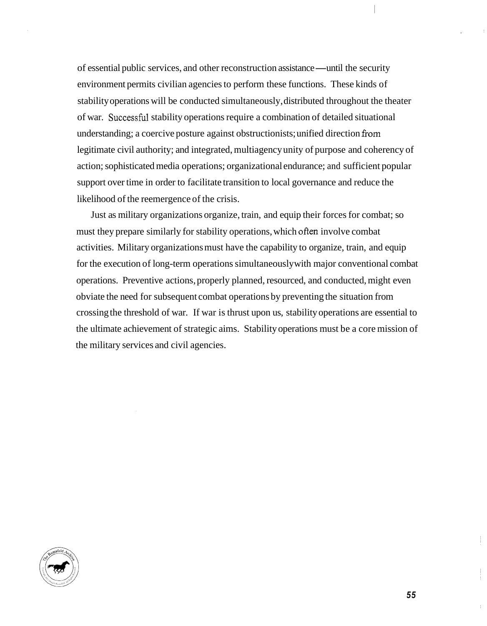of essential public services, and other reconstruction assistance-until the security environment permits civilian agencies to perform these functions. These kinds of stability operations will be conducted simultaneously, distributed throughout the theater of war. Successhl stability operations require a combination of detailed situational understanding; a coercive posture against obstructionists; unified direction from legitimate civil authority; and integrated, multiagency unity of purpose and coherency of action; sophisticated media operations; organizational endurance; and sufficient popular support over time in order to facilitate transition to local governance and reduce the likelihood of the reemergence of the crisis.

Just as military organizations organize, train, and equip their forces for combat; so must they prepare similarly for stability operations, which often involve combat activities. Military organizations must have the capability to organize, train, and equip for the execution of long-term operations simultaneously with major conventional combat operations. Preventive actions, properly planned, resourced, and conducted, might even obviate the need for subsequent combat operations by preventing the situation from crossing the threshold of war. If war is thrust upon us, stability operations are essential to the ultimate achievement of strategic aims. Stability operations must be a core mission of the military services and civil agencies.

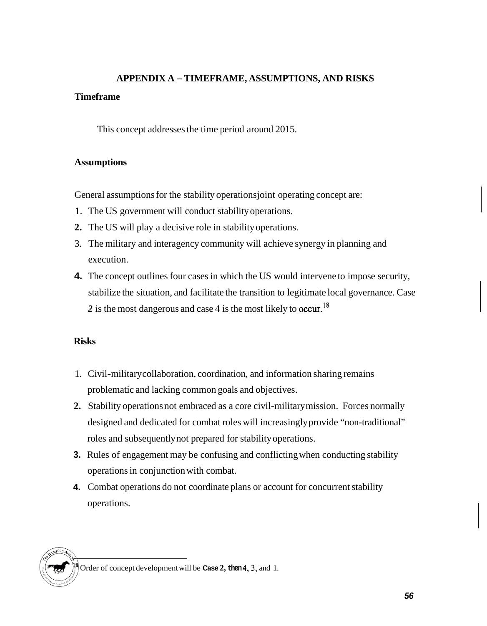# **APPENDIX A** - **TIMEFRAME, ASSUMPTIONS, AND RISKS**

## **Timeframe**

This concept addresses the time period around 2015.

# **Assumptions**

General assumptions for the stability operations joint operating concept are:

- 1. The US government will conduct stability operations.
- **2.** The US will play a decisive role in stability operations.
- 3. The military and interagency community will achieve synergy in planning and execution.
- **4.** The concept outlines four cases in which the US would intervene to impose security, stabilize the situation, and facilitate the transition to legitimate local governance. Case 2 is the most dangerous and case 4 is the most likely to occur.<sup>18</sup>

# **Risks**

- 1. Civil-military collaboration, coordination, and information sharing remains problematic and lacking common goals and objectives.
- **2.**  Stability operations not embraced as a core civil-military mission. Forces normally designed and dedicated for combat roles will increasingly provide "non-traditional" roles and subsequently not prepared for stability operations.
- **3.**  Rules of engagement may be confusing and conflicting when conducting stability operations in conjunction with combat.
- **4.**  Combat operations do not coordinate plans or account for concurrent stability operations.

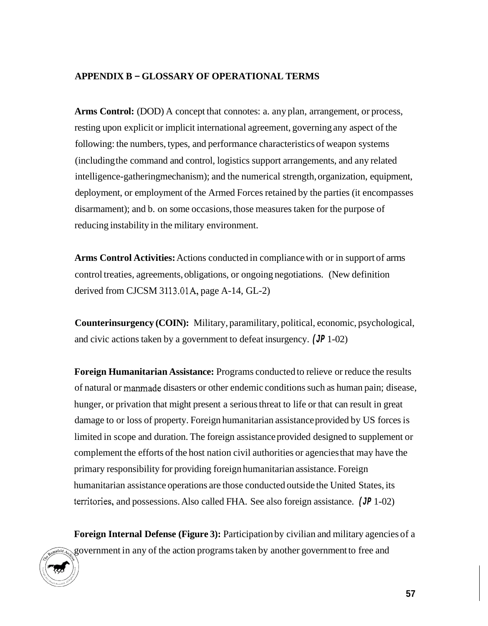# **APPENDIX B** - **GLOSSARY OF OPERATIONAL TERMS**

**Arms Control:** (DOD) A concept that connotes: a. any plan, arrangement, or process, resting upon explicit or implicit international agreement, governing any aspect of the following: the numbers, types, and performance characteristics of weapon systems (including the command and control, logistics support arrangements, and any related intelligence-gathering mechanism); and the numerical strength, organization, equipment, deployment, or employment of the Armed Forces retained by the parties (it encompasses disarmament); and b. on some occasions, those measures taken for the purpose of reducing instability in the military environment.

**Arms Control Activities:** Actions conducted in compliance with or in support of arms control treaties, agreements, obligations, or ongoing negotiations. (New definition derived from CJCSM 3113.01A, page  $A-14$ ,  $GL-2$ )

**Counterinsurgency (COIN):** Military, paramilitary, political, economic, psychological, and civic actions taken by a government to defeat insurgency. *(JP* 1-02)

**Foreign Humanitarian Assistance:** Programs conducted to relieve or reduce the results of natural or manmade disasters or other endemic conditions such as human pain; disease, hunger, or privation that might present a serious threat to life or that can result in great damage to or loss of property. Foreign humanitarian assistance provided by US forces is limited in scope and duration. The foreign assistance provided designed to supplement or complement the efforts of the host nation civil authorities or agencies that may have the primary responsibility for providing foreign humanitarian assistance. Foreign humanitarian assistance operations are those conducted outside the United States, its territories, and possessions. Also called FHA. See also foreign assistance. *(JP* 1-02)

**Foreign Internal Defense (Figure 3):** Participation by civilian and military agencies of a government in any of the action programs taken by another government to free and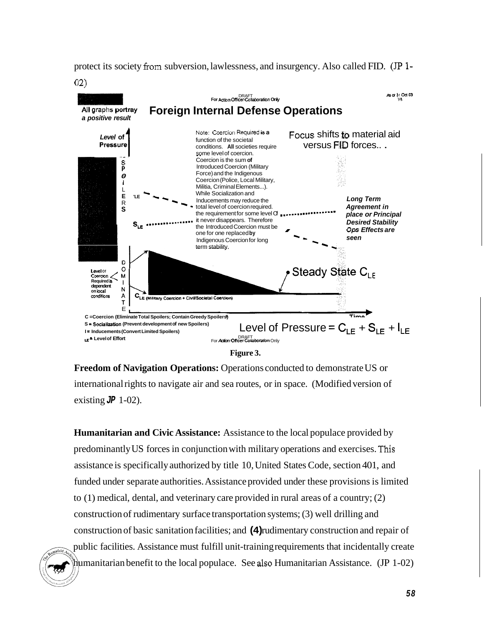protect its society from subversion, lawlessness, and insurgency. Also called FID. *(JP* 1- 02)



**Figure 3.** 

**Freedom of Navigation Operations:** Operations conducted to demonstrate US or international rights to navigate air and sea routes, or in space. (Modified version of existing  $J\ddot{P}$  1-02).

**Humanitarian and Civic Assistance:** Assistance to the local populace provided by predominantly US forces in conjunction with military operations and exercises. This assistance is specifically authorized by title 10, United States Code, section 401, and funded under separate authorities. Assistance provided under these provisions is limited to (1) medical, dental, and veterinary care provided in rural areas of a country; (2) construction of rudimentary surface transportation systems; (3) well drilling and construction of basic sanitation facilities; and **(4)** rudimentary construction and repair of public facilities. Assistance must fulfill unit-training requirements that incidentally create humanitarian benefit to the local populace. See also Humanitarian Assistance. (JP 1-02)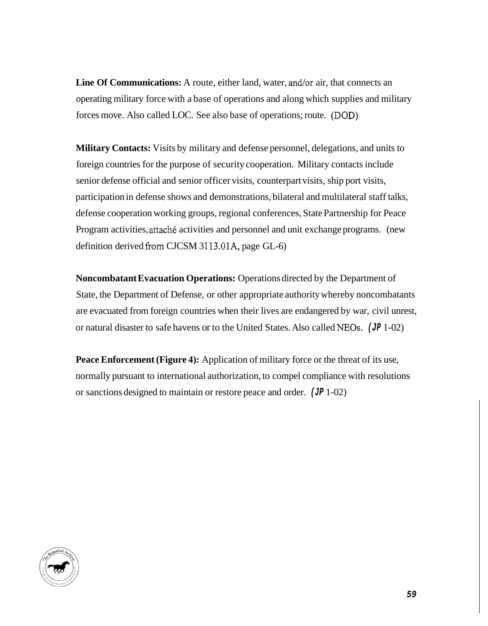**Line Of Communications:** A route, either land, water, and/or air, that connects an operating military force with a base of operations and along which supplies and military forces move. Also called LOC. See also base of operations; route. (DOD)

**Military Contacts:** Visits by military and defense personnel, delegations, and units to foreign countries for the purpose of security cooperation. Military contacts include senior defense official and senior officer visits, counterpart visits, ship port visits, participation in defense shows and demonstrations, bilateral and multilateral staff talks, defense cooperation working groups, regional conferences, State Partnership for Peace Program activities, attaché activities and personnel and unit exchange programs. (new definition derived from CJCSM 3113.01A, page  $GL-6$ )

**Noncombatant Evacuation Operations:** Operations directed by the Department of State, the Department of Defense, or other appropriate authority whereby noncombatants are evacuated from foreign countries when their lives are endangered by war, civil unrest, or natural disaster to safe havens or to the United States. Also called NEOs. *(JP* 1-02)

**Peace Enforcement (Figure 4):** Application of military force or the threat of its use, normally pursuant to international authorization, to compel compliance with resolutions or sanctions designed to maintain or restore peace and order. *(JP* 1-02)

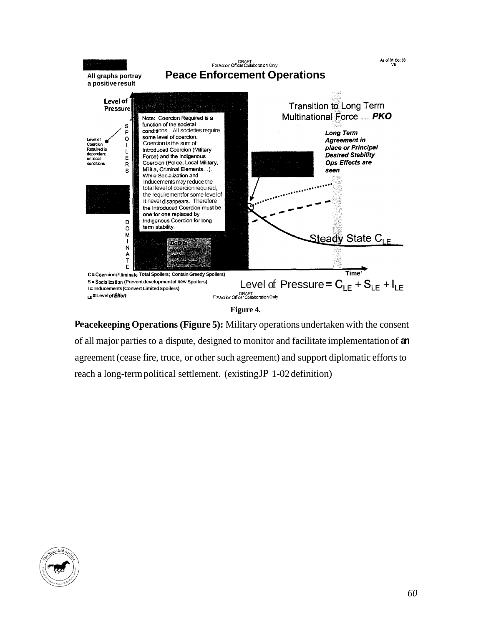

Peacekeeping Operations (Figure 5): Military operations undertaken with the consent of all major parties to a dispute, designed to monitor and facilitate implementation of **an**  agreement (cease fire, truce, or other such agreement) and support diplomatic efforts to reach a long-term political settlement. (existing *JP* 1-02 definition)

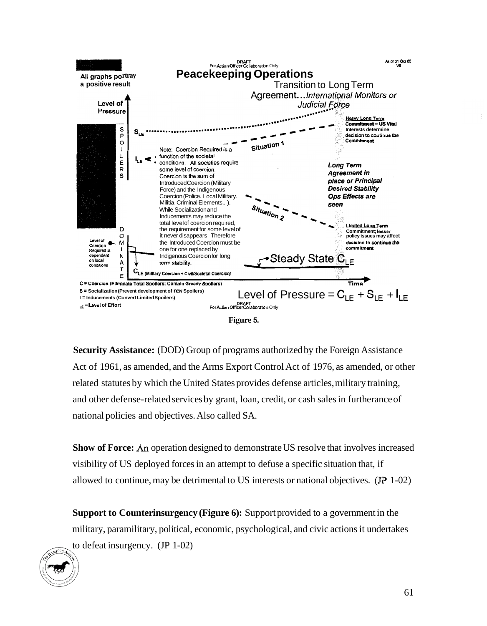

**Security Assistance:** (DOD) Group of programs authorized by the Foreign Assistance Act of 1961, as amended, and the Arms Export Control Act of 1976, as amended, or other related statutes by which the United States provides defense articles, military training, and other defense-related services by grant, loan, credit, or cash sales in furtherance of national policies and objectives. Also called SA.

**Show of Force: An** operation designed to demonstrate US resolve that involves increased visibility of US deployed forces in an attempt to defuse a specific situation that, if allowed to continue, may be detrimental to US interests or national objectives. *(JP* 1-02)

**Support to Counterinsurgency (Figure 6):** Support provided to a government in the military, paramilitary, political, economic, psychological, and civic actions it undertakes to defeat insurgency. (JP 1-02)

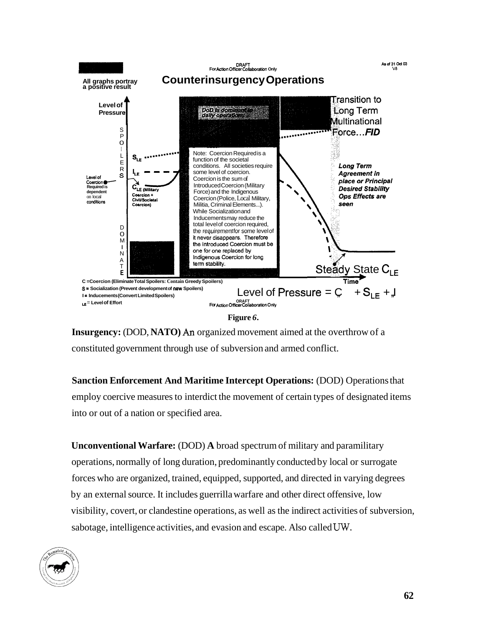

**Insurgency:** (DOD, **NATO)** *An* organized movement aimed at the overthrow of a constituted government through use of subversion and armed conflict.

**Sanction Enforcement And Maritime Intercept Operations: (DOD) Operations that** employ coercive measures to interdict the movement of certain types of designated items into or out of a nation or specified area.

**Unconventional Warfare: (DOD) A broad spectrum of military and paramilitary** operations, normally of long duration, predominantly conducted by local or surrogate forces who are organized, trained, equipped, supported, and directed in varying degrees by an external source. It includes guerrilla warfare and other direct offensive, low visibility, covert, or clandestine operations, as well as the indirect activities of subversion, sabotage, intelligence activities, and evasion and escape. Also called *UW.* 

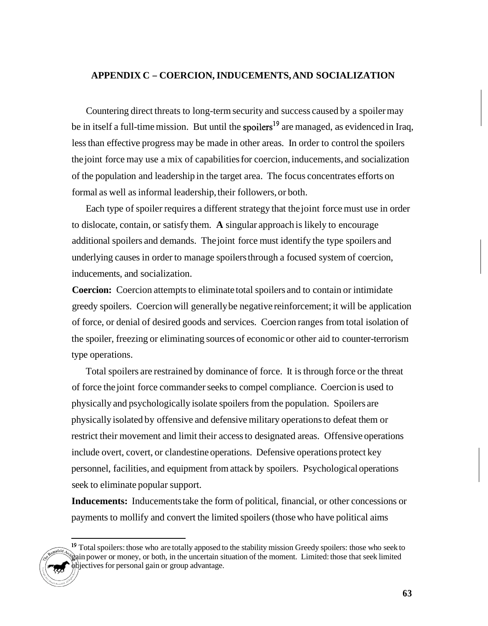### **APPENDIX C** - **COERCION, INDUCEMENTS, AND SOCIALIZATION**

Countering direct threats to long-term security and success caused by a spoiler may be in itself a full-time mission. But until the spoilers<sup>19</sup> are managed, as evidenced in Iraq, less than effective progress may be made in other areas. In order to control the spoilers the joint force may use a mix of capabilities for coercion, inducements, and socialization of the population and leadership in the target area. The focus concentrates efforts on formal as well as informal leadership, their followers, or both.

Each type of spoiler requires a different strategy that the joint force must use in order to dislocate, contain, or satisfy them. **A** singular approach is likely to encourage additional spoilers and demands. The joint force must identify the type spoilers and underlying causes in order to manage spoilers through a focused system of coercion, inducements, and socialization.

**Coercion:** Coercion attempts to eliminate total spoilers and to contain or intimidate greedy spoilers. Coercion will generally be negative reinforcement; it will be application of force, or denial of desired goods and services. Coercion ranges from total isolation of the spoiler, freezing or eliminating sources of economic or other aid to counter-terrorism type operations.

Total spoilers are restrained by dominance of force. It is through force or the threat of force the joint force commander seeks to compel compliance. Coercion is used to physically and psychologically isolate spoilers from the population. Spoilers are physically isolated by offensive and defensive military operations to defeat them or restrict their movement and limit their access to designated areas. Offensive operations include overt, covert, or clandestine operations. Defensive operations protect key personnel, facilities, and equipment from attack by spoilers. Psychological operations seek to eliminate popular support.

**Inducements:** Inducements take the form of political, financial, or other concessions or payments to mollify and convert the limited spoilers (those who have political aims

<sup>&</sup>lt;sup>19</sup> Total spoilers: those who are totally apposed to the stability mission Greedy spoilers: those who seek to gain power or money, or both, in the uncertain situation of the moment. Limited: those that seek limited objectives for personal gain or group advantage.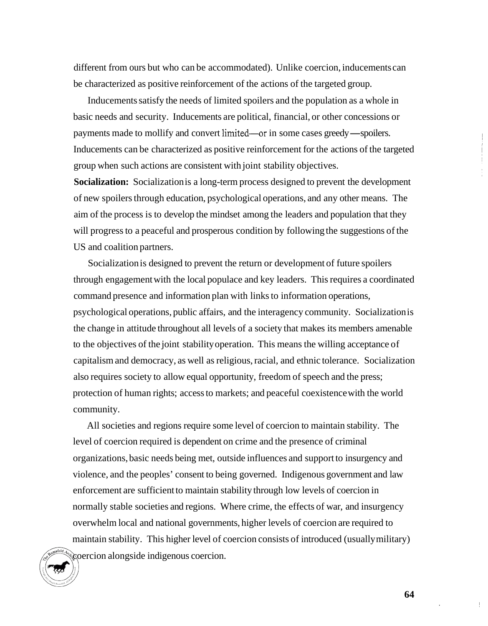different from ours but who can be accommodated). Unlike coercion, inducements can be characterized as positive reinforcement of the actions of the targeted group.

Inducements satisfy the needs of limited spoilers and the population as a whole in basic needs and security. Inducements are political, financial, or other concessions or payments made to mollify and convert limited—or in some cases greedy—spoilers. Inducements can be characterized as positive reinforcement for the actions of the targeted group when such actions are consistent with joint stability objectives.

**Socialization:** Socialization is a long-term process designed to prevent the development of new spoilers through education, psychological operations, and any other means. The aim of the process is to develop the mindset among the leaders and population that they will progress to a peaceful and prosperous condition by following the suggestions of the US and coalition partners.

Socialization is designed to prevent the return or development of future spoilers through engagement with the local populace and key leaders. This requires a coordinated command presence and information plan with links to information operations, psychological operations, public affairs, and the interagency community. Socialization is the change in attitude throughout all levels of a society that makes its members amenable to the objectives of the joint stability operation. This means the willing acceptance of capitalism and democracy, as well as religious, racial, and ethnic tolerance. Socialization also requires society to allow equal opportunity, freedom of speech and the press; protection of human rights; access to markets; and peaceful coexistence with the world community.

All societies and regions require some level of coercion to maintain stability. The level of coercion required is dependent on crime and the presence of criminal organizations, basic needs being met, outside influences and support to insurgency and violence, and the peoples' consent to being governed. Indigenous government and law enforcement are sufficient to maintain stability through low levels of coercion in normally stable societies and regions. Where crime, the effects of war, and insurgency overwhelm local and national governments, higher levels of coercion are required to maintain stability. This higher level of coercion consists of introduced (usually military) coercion alongside indigenous coercion.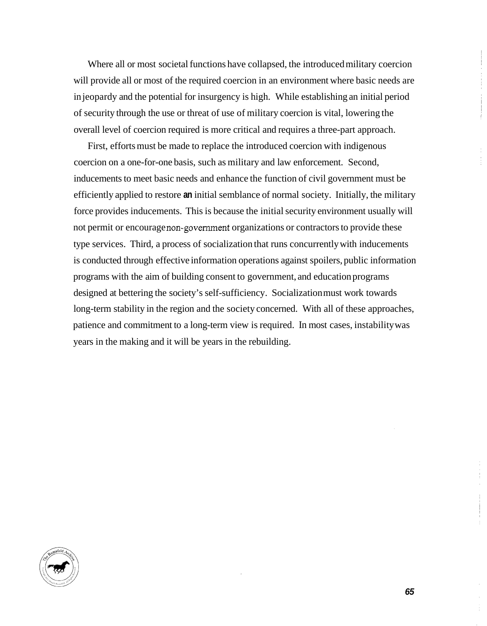Where all or most societal functions have collapsed, the introduced military coercion will provide all or most of the required coercion in an environment where basic needs are in jeopardy and the potential for insurgency is high. While establishing an initial period of security through the use or threat of use of military coercion is vital, lowering the overall level of coercion required is more critical and requires a three-part approach.

First, efforts must be made to replace the introduced coercion with indigenous coercion on a one-for-one basis, such as military and law enforcement. Second, inducements to meet basic needs and enhance the function of civil government must be efficiently applied to restore **an** initial semblance of normal society. Initially, the military force provides inducements. This is because the initial security environment usually will not permit or encourage non-government organizations or contractors to provide these type services. Third, a process of socialization that runs concurrently with inducements is conducted through effective information operations against spoilers, public information programs with the aim of building consent to government, and education programs designed at bettering the society's self-sufficiency. Socialization must work towards long-term stability in the region and the society concerned. With all of these approaches, patience and commitment to a long-term view is required. In most cases, instability was years in the making and it will be years in the rebuilding.